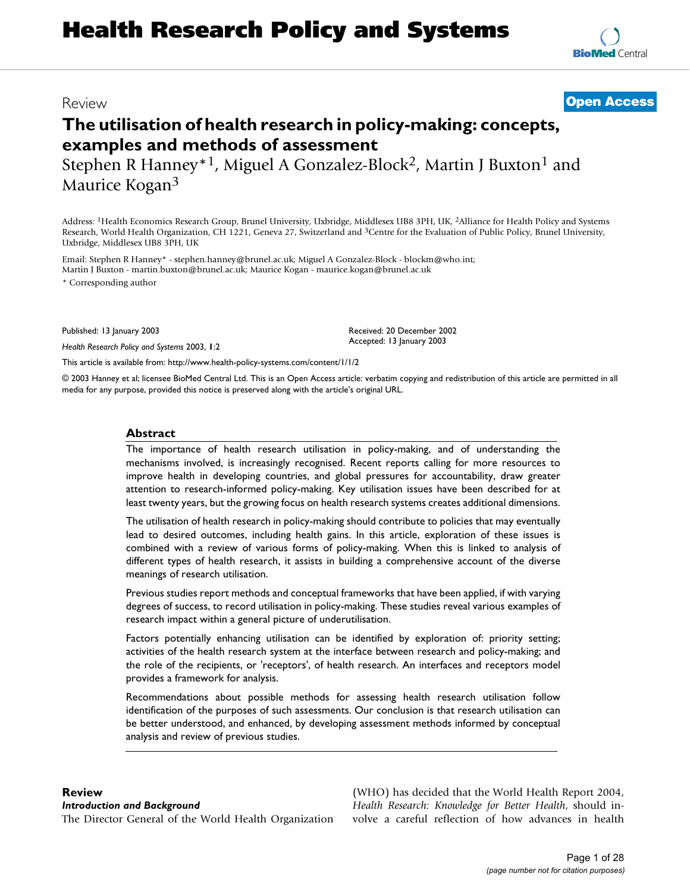# **Health Research Policy and Systems**

# **The utilisation of health research in policy-making: concepts, examples and methods of assessment**

Stephen R Hanney\*<sup>1</sup>, Miguel A Gonzalez-Block<sup>2</sup>, Martin J Buxton<sup>1</sup> and Maurice Kogan3

Address: 1Health Economics Research Group, Brunel University, Uxbridge, Middlesex UB8 3PH, UK, 2Alliance for Health Policy and Systems Research, World Health Organization, CH 1221, Geneva 27, Switzerland and <sup>3</sup>Centre for the Evaluation of Public Policy, Brunel University, Uxbridge, Middlesex UB8 3PH, UK

Email: Stephen R Hanney\* - stephen.hanney@brunel.ac.uk; Miguel A Gonzalez-Block - blockm@who.int; Martin J Buxton - martin.buxton@brunel.ac.uk; Maurice Kogan - maurice.kogan@brunel.ac.uk

\* Corresponding author

Published: 13 January 2003

*Health Research Policy and Systems* 2003, **1**:2

[This article is available from: http://www.health-policy-systems.com/content/1/1/2](http://www.health-policy-systems.com/content/1/1/2)

© 2003 Hanney et al; licensee BioMed Central Ltd. This is an Open Access article: verbatim copying and redistribution of this article are permitted in all media for any purpose, provided this notice is preserved along with the article's original URL.

#### **Abstract**

The importance of health research utilisation in policy-making, and of understanding the mechanisms involved, is increasingly recognised. Recent reports calling for more resources to improve health in developing countries, and global pressures for accountability, draw greater attention to research-informed policy-making. Key utilisation issues have been described for at least twenty years, but the growing focus on health research systems creates additional dimensions.

The utilisation of health research in policy-making should contribute to policies that may eventually lead to desired outcomes, including health gains. In this article, exploration of these issues is combined with a review of various forms of policy-making. When this is linked to analysis of different types of health research, it assists in building a comprehensive account of the diverse meanings of research utilisation.

Previous studies report methods and conceptual frameworks that have been applied, if with varying degrees of success, to record utilisation in policy-making. These studies reveal various examples of research impact within a general picture of underutilisation.

Factors potentially enhancing utilisation can be identified by exploration of: priority setting; activities of the health research system at the interface between research and policy-making; and the role of the recipients, or 'receptors', of health research. An interfaces and receptors model provides a framework for analysis.

Recommendations about possible methods for assessing health research utilisation follow identification of the purposes of such assessments. Our conclusion is that research utilisation can be better understood, and enhanced, by developing assessment methods informed by conceptual analysis and review of previous studies.

(WHO) has decided that the World Health Report 2004, *Health Research: Knowledge for Better Health*, should involve a careful reflection of how advances in health



# Review **[Open Access](http://www.biomedcentral.com/info/about/charter/)**

Received: 20 December 2002 Accepted: 13 January 2003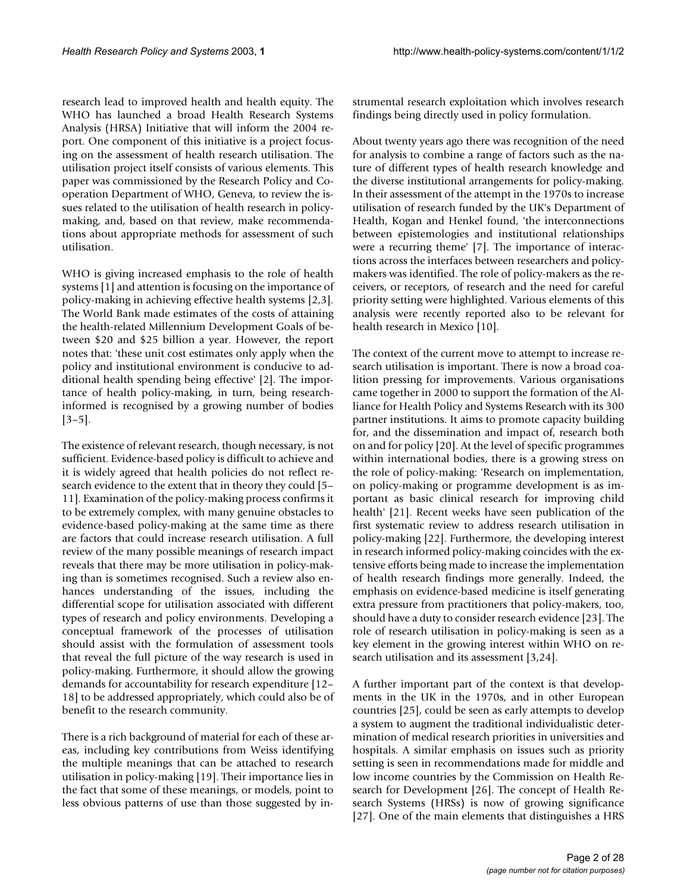research lead to improved health and health equity. The WHO has launched a broad Health Research Systems Analysis (HRSA) Initiative that will inform the 2004 report. One component of this initiative is a project focusing on the assessment of health research utilisation. The utilisation project itself consists of various elements. This paper was commissioned by the Research Policy and Cooperation Department of WHO, Geneva, to review the issues related to the utilisation of health research in policymaking, and, based on that review, make recommendations about appropriate methods for assessment of such utilisation.

WHO is giving increased emphasis to the role of health systems [1] and attention is focusing on the importance of policy-making in achieving effective health systems [2,3]. The World Bank made estimates of the costs of attaining the health-related Millennium Development Goals of between \$20 and \$25 billion a year. However, the report notes that: 'these unit cost estimates only apply when the policy and institutional environment is conducive to additional health spending being effective' [2]. The importance of health policy-making, in turn, being researchinformed is recognised by a growing number of bodies  $[3-5]$ .

The existence of relevant research, though necessary, is not sufficient. Evidence-based policy is difficult to achieve and it is widely agreed that health policies do not reflect research evidence to the extent that in theory they could [5– 11]. Examination of the policy-making process confirms it to be extremely complex, with many genuine obstacles to evidence-based policy-making at the same time as there are factors that could increase research utilisation. A full review of the many possible meanings of research impact reveals that there may be more utilisation in policy-making than is sometimes recognised. Such a review also enhances understanding of the issues, including the differential scope for utilisation associated with different types of research and policy environments. Developing a conceptual framework of the processes of utilisation should assist with the formulation of assessment tools that reveal the full picture of the way research is used in policy-making. Furthermore, it should allow the growing demands for accountability for research expenditure [12– 18] to be addressed appropriately, which could also be of benefit to the research community.

There is a rich background of material for each of these areas, including key contributions from Weiss identifying the multiple meanings that can be attached to research utilisation in policy-making [19]. Their importance lies in the fact that some of these meanings, or models, point to less obvious patterns of use than those suggested by instrumental research exploitation which involves research findings being directly used in policy formulation.

About twenty years ago there was recognition of the need for analysis to combine a range of factors such as the nature of different types of health research knowledge and the diverse institutional arrangements for policy-making. In their assessment of the attempt in the 1970s to increase utilisation of research funded by the UK's Department of Health, Kogan and Henkel found, 'the interconnections between epistemologies and institutional relationships were a recurring theme' [7]. The importance of interactions across the interfaces between researchers and policymakers was identified. The role of policy-makers as the receivers, or receptors, of research and the need for careful priority setting were highlighted. Various elements of this analysis were recently reported also to be relevant for health research in Mexico [10].

The context of the current move to attempt to increase research utilisation is important. There is now a broad coalition pressing for improvements. Various organisations came together in 2000 to support the formation of the Alliance for Health Policy and Systems Research with its 300 partner institutions. It aims to promote capacity building for, and the dissemination and impact of, research both on and for policy [20]. At the level of specific programmes within international bodies, there is a growing stress on the role of policy-making: 'Research on implementation, on policy-making or programme development is as important as basic clinical research for improving child health' [21]. Recent weeks have seen publication of the first systematic review to address research utilisation in policy-making [22]. Furthermore, the developing interest in research informed policy-making coincides with the extensive efforts being made to increase the implementation of health research findings more generally. Indeed, the emphasis on evidence-based medicine is itself generating extra pressure from practitioners that policy-makers, too, should have a duty to consider research evidence [23]. The role of research utilisation in policy-making is seen as a key element in the growing interest within WHO on research utilisation and its assessment [3,24].

A further important part of the context is that developments in the UK in the 1970s, and in other European countries [25], could be seen as early attempts to develop a system to augment the traditional individualistic determination of medical research priorities in universities and hospitals. A similar emphasis on issues such as priority setting is seen in recommendations made for middle and low income countries by the Commission on Health Research for Development [26]. The concept of Health Research Systems (HRSs) is now of growing significance [27]. One of the main elements that distinguishes a HRS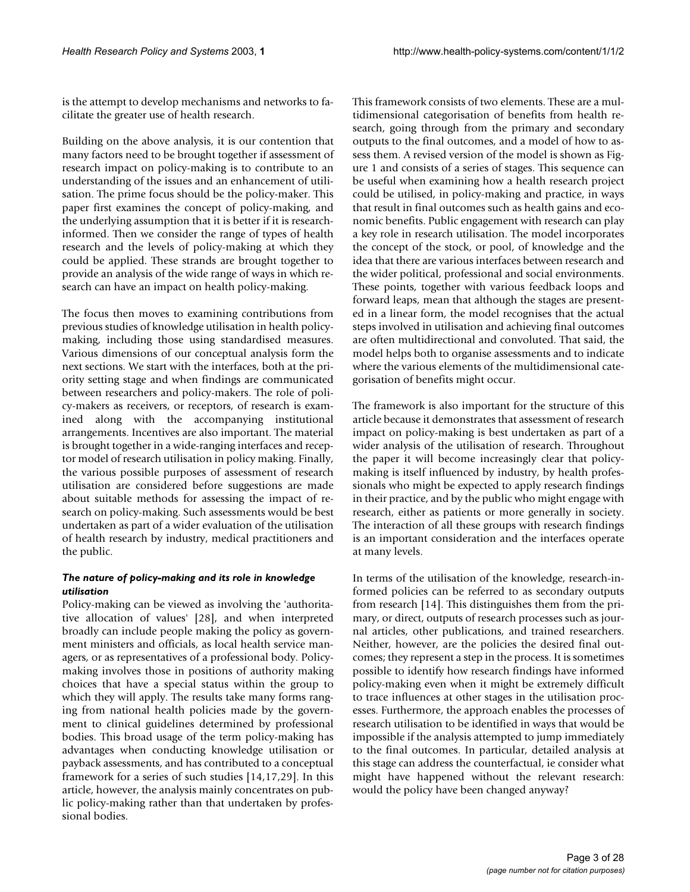is the attempt to develop mechanisms and networks to facilitate the greater use of health research.

Building on the above analysis, it is our contention that many factors need to be brought together if assessment of research impact on policy-making is to contribute to an understanding of the issues and an enhancement of utilisation. The prime focus should be the policy-maker. This paper first examines the concept of policy-making, and the underlying assumption that it is better if it is researchinformed. Then we consider the range of types of health research and the levels of policy-making at which they could be applied. These strands are brought together to provide an analysis of the wide range of ways in which research can have an impact on health policy-making.

The focus then moves to examining contributions from previous studies of knowledge utilisation in health policymaking, including those using standardised measures. Various dimensions of our conceptual analysis form the next sections. We start with the interfaces, both at the priority setting stage and when findings are communicated between researchers and policy-makers. The role of policy-makers as receivers, or receptors, of research is examined along with the accompanying institutional arrangements. Incentives are also important. The material is brought together in a wide-ranging interfaces and receptor model of research utilisation in policy making. Finally, the various possible purposes of assessment of research utilisation are considered before suggestions are made about suitable methods for assessing the impact of research on policy-making. Such assessments would be best undertaken as part of a wider evaluation of the utilisation of health research by industry, medical practitioners and the public.

# *The nature of policy-making and its role in knowledge utilisation*

Policy-making can be viewed as involving the 'authoritative allocation of values' [28], and when interpreted broadly can include people making the policy as government ministers and officials, as local health service managers, or as representatives of a professional body. Policymaking involves those in positions of authority making choices that have a special status within the group to which they will apply. The results take many forms ranging from national health policies made by the government to clinical guidelines determined by professional bodies. This broad usage of the term policy-making has advantages when conducting knowledge utilisation or payback assessments, and has contributed to a conceptual framework for a series of such studies [14,17,29]. In this article, however, the analysis mainly concentrates on public policy-making rather than that undertaken by professional bodies.

This framework consists of two elements. These are a multidimensional categorisation of benefits from health research, going through from the primary and secondary outputs to the final outcomes, and a model of how to assess them. A revised version of the model is shown as Figure [1](#page-3-0) and consists of a series of stages. This sequence can be useful when examining how a health research project could be utilised, in policy-making and practice, in ways that result in final outcomes such as health gains and economic benefits. Public engagement with research can play a key role in research utilisation. The model incorporates the concept of the stock, or pool, of knowledge and the idea that there are various interfaces between research and the wider political, professional and social environments. These points, together with various feedback loops and forward leaps, mean that although the stages are presented in a linear form, the model recognises that the actual steps involved in utilisation and achieving final outcomes are often multidirectional and convoluted. That said, the model helps both to organise assessments and to indicate where the various elements of the multidimensional categorisation of benefits might occur.

The framework is also important for the structure of this article because it demonstrates that assessment of research impact on policy-making is best undertaken as part of a wider analysis of the utilisation of research. Throughout the paper it will become increasingly clear that policymaking is itself influenced by industry, by health professionals who might be expected to apply research findings in their practice, and by the public who might engage with research, either as patients or more generally in society. The interaction of all these groups with research findings is an important consideration and the interfaces operate at many levels.

In terms of the utilisation of the knowledge, research-informed policies can be referred to as secondary outputs from research [14]. This distinguishes them from the primary, or direct, outputs of research processes such as journal articles, other publications, and trained researchers. Neither, however, are the policies the desired final outcomes; they represent a step in the process. It is sometimes possible to identify how research findings have informed policy-making even when it might be extremely difficult to trace influences at other stages in the utilisation processes. Furthermore, the approach enables the processes of research utilisation to be identified in ways that would be impossible if the analysis attempted to jump immediately to the final outcomes. In particular, detailed analysis at this stage can address the counterfactual, ie consider what might have happened without the relevant research: would the policy have been changed anyway?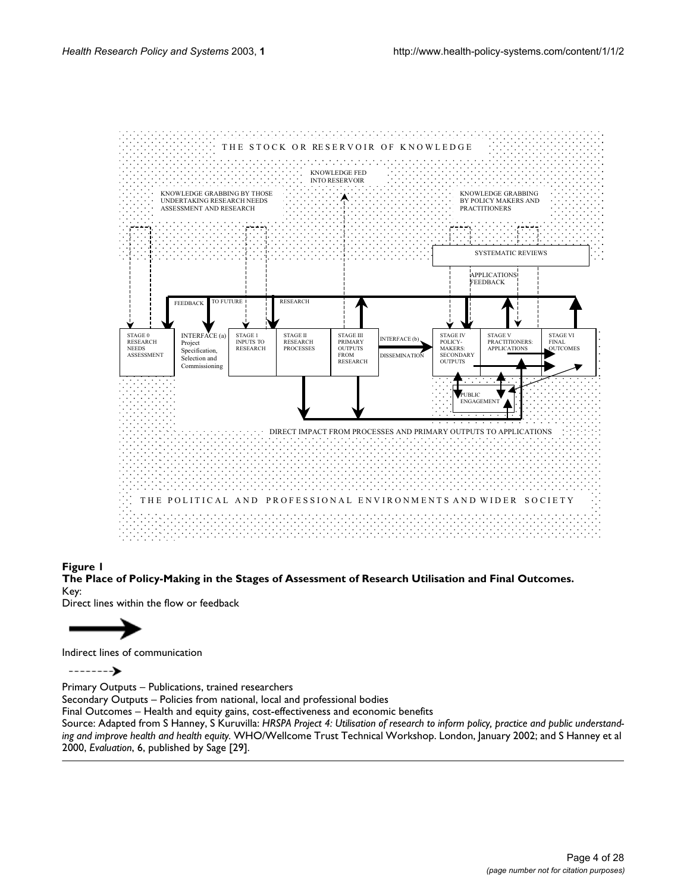<span id="page-3-0"></span>

#### **Figure 1**

**The Place of Policy-Making in the Stages of Assessment of Research Utilisation and Final Outcomes.** Key:

Direct lines within the flow or feedback



Indirect lines of communication

--------->

Primary Outputs – Publications, trained researchers

Secondary Outputs – Policies from national, local and professional bodies

Final Outcomes – Health and equity gains, cost-effectiveness and economic benefits

Source: Adapted from S Hanney, S Kuruvilla: *HRSPA Project 4: Utilisation of research to inform policy, practice and public understanding and improve health and health equity.* WHO/Wellcome Trust Technical Workshop. London, January 2002; and S Hanney et al 2000, *Evaluation*, 6, published by Sage [29].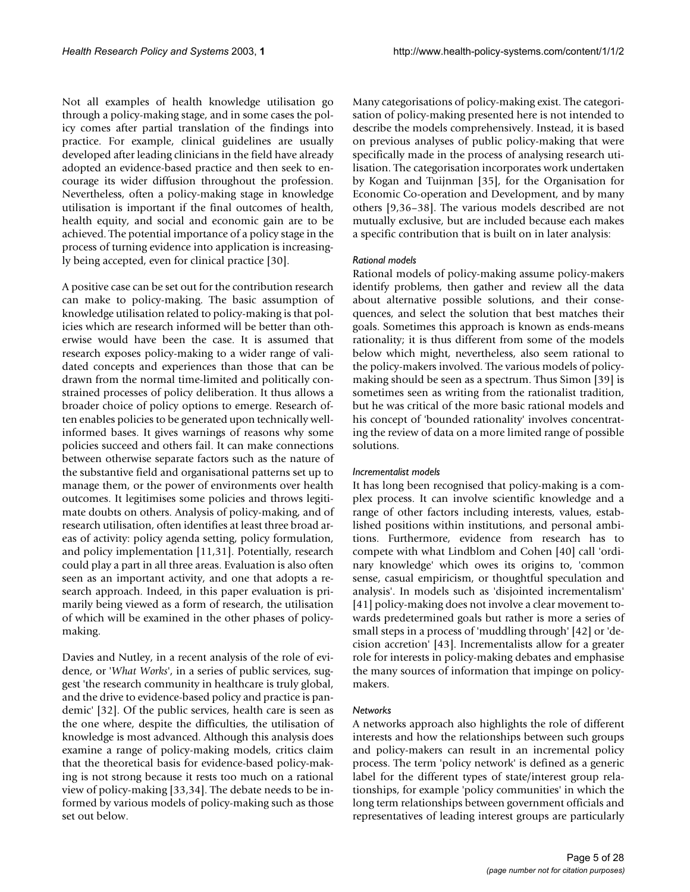Not all examples of health knowledge utilisation go through a policy-making stage, and in some cases the policy comes after partial translation of the findings into practice. For example, clinical guidelines are usually developed after leading clinicians in the field have already adopted an evidence-based practice and then seek to encourage its wider diffusion throughout the profession. Nevertheless, often a policy-making stage in knowledge utilisation is important if the final outcomes of health, health equity, and social and economic gain are to be achieved. The potential importance of a policy stage in the process of turning evidence into application is increasingly being accepted, even for clinical practice [30].

A positive case can be set out for the contribution research can make to policy-making. The basic assumption of knowledge utilisation related to policy-making is that policies which are research informed will be better than otherwise would have been the case. It is assumed that research exposes policy-making to a wider range of validated concepts and experiences than those that can be drawn from the normal time-limited and politically constrained processes of policy deliberation. It thus allows a broader choice of policy options to emerge. Research often enables policies to be generated upon technically wellinformed bases. It gives warnings of reasons why some policies succeed and others fail. It can make connections between otherwise separate factors such as the nature of the substantive field and organisational patterns set up to manage them, or the power of environments over health outcomes. It legitimises some policies and throws legitimate doubts on others. Analysis of policy-making, and of research utilisation, often identifies at least three broad areas of activity: policy agenda setting, policy formulation, and policy implementation [11,31]. Potentially, research could play a part in all three areas. Evaluation is also often seen as an important activity, and one that adopts a research approach. Indeed, in this paper evaluation is primarily being viewed as a form of research, the utilisation of which will be examined in the other phases of policymaking.

Davies and Nutley, in a recent analysis of the role of evidence, or '*What Works*', in a series of public services, suggest 'the research community in healthcare is truly global, and the drive to evidence-based policy and practice is pandemic' [32]. Of the public services, health care is seen as the one where, despite the difficulties, the utilisation of knowledge is most advanced. Although this analysis does examine a range of policy-making models, critics claim that the theoretical basis for evidence-based policy-making is not strong because it rests too much on a rational view of policy-making [33,34]. The debate needs to be informed by various models of policy-making such as those set out below.

Many categorisations of policy-making exist. The categorisation of policy-making presented here is not intended to describe the models comprehensively. Instead, it is based on previous analyses of public policy-making that were specifically made in the process of analysing research utilisation. The categorisation incorporates work undertaken by Kogan and Tuijnman [35], for the Organisation for Economic Co-operation and Development, and by many others [9,36–38]. The various models described are not mutually exclusive, but are included because each makes a specific contribution that is built on in later analysis:

#### *Rational models*

Rational models of policy-making assume policy-makers identify problems, then gather and review all the data about alternative possible solutions, and their consequences, and select the solution that best matches their goals. Sometimes this approach is known as ends-means rationality; it is thus different from some of the models below which might, nevertheless, also seem rational to the policy-makers involved. The various models of policymaking should be seen as a spectrum. Thus Simon [39] is sometimes seen as writing from the rationalist tradition, but he was critical of the more basic rational models and his concept of 'bounded rationality' involves concentrating the review of data on a more limited range of possible solutions.

#### *Incrementalist models*

It has long been recognised that policy-making is a complex process. It can involve scientific knowledge and a range of other factors including interests, values, established positions within institutions, and personal ambitions. Furthermore, evidence from research has to compete with what Lindblom and Cohen [40] call 'ordinary knowledge' which owes its origins to, 'common sense, casual empiricism, or thoughtful speculation and analysis'. In models such as 'disjointed incrementalism' [41] policy-making does not involve a clear movement towards predetermined goals but rather is more a series of small steps in a process of 'muddling through' [42] or 'decision accretion' [43]. Incrementalists allow for a greater role for interests in policy-making debates and emphasise the many sources of information that impinge on policymakers.

#### *Networks*

A networks approach also highlights the role of different interests and how the relationships between such groups and policy-makers can result in an incremental policy process. The term 'policy network' is defined as a generic label for the different types of state/interest group relationships, for example 'policy communities' in which the long term relationships between government officials and representatives of leading interest groups are particularly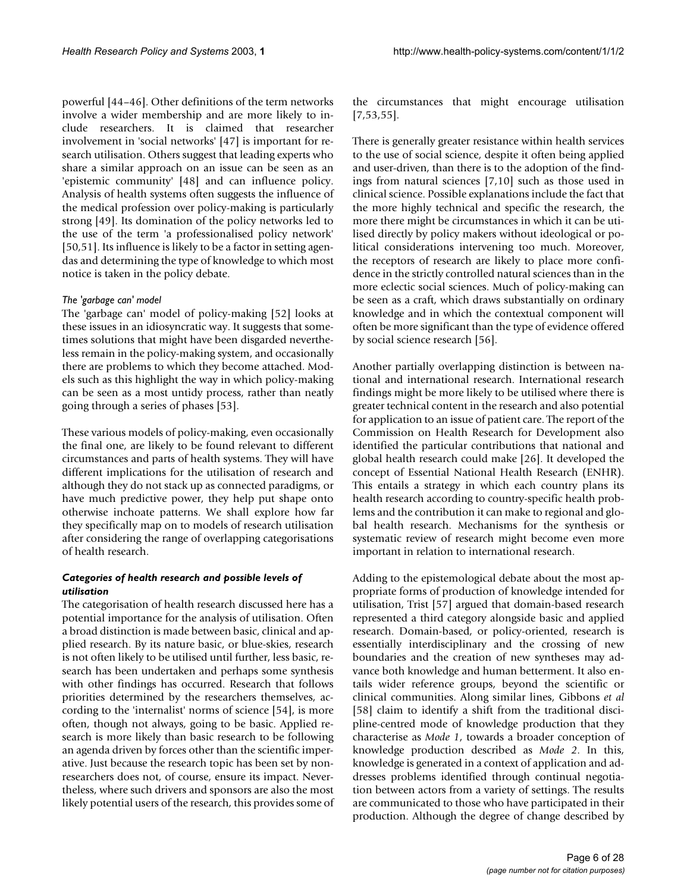powerful [44–46]. Other definitions of the term networks involve a wider membership and are more likely to include researchers. It is claimed that researcher involvement in 'social networks' [47] is important for research utilisation. Others suggest that leading experts who share a similar approach on an issue can be seen as an 'epistemic community' [48] and can influence policy. Analysis of health systems often suggests the influence of the medical profession over policy-making is particularly strong [49]. Its domination of the policy networks led to the use of the term 'a professionalised policy network' [50,51]. Its influence is likely to be a factor in setting agendas and determining the type of knowledge to which most notice is taken in the policy debate.

#### *The 'garbage can' model*

The 'garbage can' model of policy-making [52] looks at these issues in an idiosyncratic way. It suggests that sometimes solutions that might have been disgarded nevertheless remain in the policy-making system, and occasionally there are problems to which they become attached. Models such as this highlight the way in which policy-making can be seen as a most untidy process, rather than neatly going through a series of phases [53].

These various models of policy-making, even occasionally the final one, are likely to be found relevant to different circumstances and parts of health systems. They will have different implications for the utilisation of research and although they do not stack up as connected paradigms, or have much predictive power, they help put shape onto otherwise inchoate patterns. We shall explore how far they specifically map on to models of research utilisation after considering the range of overlapping categorisations of health research.

# *Categories of health research and possible levels of utilisation*

The categorisation of health research discussed here has a potential importance for the analysis of utilisation. Often a broad distinction is made between basic, clinical and applied research. By its nature basic, or blue-skies, research is not often likely to be utilised until further, less basic, research has been undertaken and perhaps some synthesis with other findings has occurred. Research that follows priorities determined by the researchers themselves, according to the 'internalist' norms of science [54], is more often, though not always, going to be basic. Applied research is more likely than basic research to be following an agenda driven by forces other than the scientific imperative. Just because the research topic has been set by nonresearchers does not, of course, ensure its impact. Nevertheless, where such drivers and sponsors are also the most likely potential users of the research, this provides some of the circumstances that might encourage utilisation [7,53,55].

There is generally greater resistance within health services to the use of social science, despite it often being applied and user-driven, than there is to the adoption of the findings from natural sciences [7,10] such as those used in clinical science. Possible explanations include the fact that the more highly technical and specific the research, the more there might be circumstances in which it can be utilised directly by policy makers without ideological or political considerations intervening too much. Moreover, the receptors of research are likely to place more confidence in the strictly controlled natural sciences than in the more eclectic social sciences. Much of policy-making can be seen as a craft, which draws substantially on ordinary knowledge and in which the contextual component will often be more significant than the type of evidence offered by social science research [56].

Another partially overlapping distinction is between national and international research. International research findings might be more likely to be utilised where there is greater technical content in the research and also potential for application to an issue of patient care. The report of the Commission on Health Research for Development also identified the particular contributions that national and global health research could make [26]. It developed the concept of Essential National Health Research (ENHR). This entails a strategy in which each country plans its health research according to country-specific health problems and the contribution it can make to regional and global health research. Mechanisms for the synthesis or systematic review of research might become even more important in relation to international research.

Adding to the epistemological debate about the most appropriate forms of production of knowledge intended for utilisation, Trist [57] argued that domain-based research represented a third category alongside basic and applied research. Domain-based, or policy-oriented, research is essentially interdisciplinary and the crossing of new boundaries and the creation of new syntheses may advance both knowledge and human betterment. It also entails wider reference groups, beyond the scientific or clinical communities. Along similar lines, Gibbons *et al* [58] claim to identify a shift from the traditional discipline-centred mode of knowledge production that they characterise as *Mode 1*, towards a broader conception of knowledge production described as *Mode 2*. In this, knowledge is generated in a context of application and addresses problems identified through continual negotiation between actors from a variety of settings. The results are communicated to those who have participated in their production. Although the degree of change described by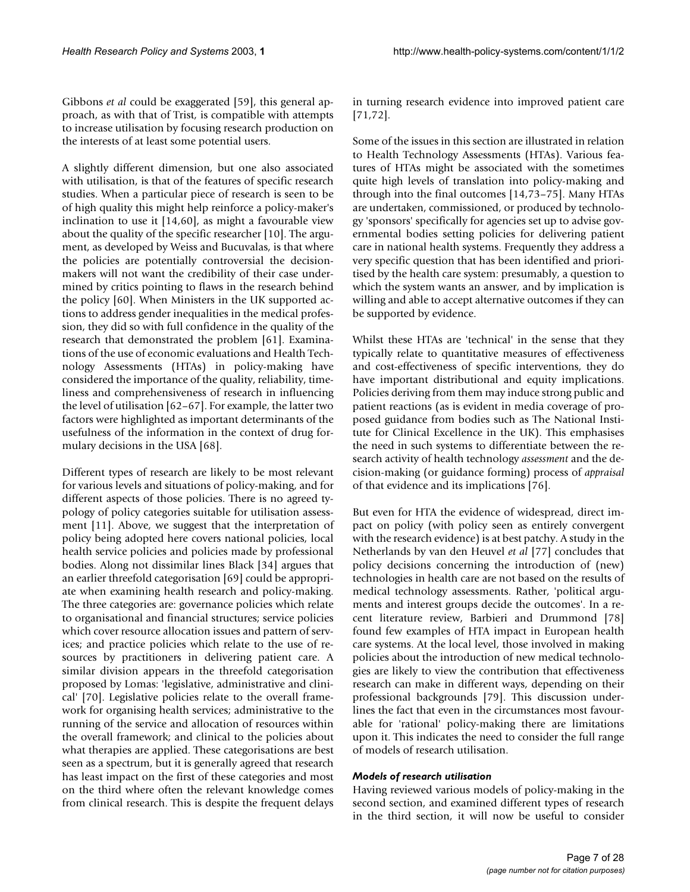Gibbons *et al* could be exaggerated [59], this general approach, as with that of Trist, is compatible with attempts to increase utilisation by focusing research production on the interests of at least some potential users.

A slightly different dimension, but one also associated with utilisation, is that of the features of specific research studies. When a particular piece of research is seen to be of high quality this might help reinforce a policy-maker's inclination to use it [14,60], as might a favourable view about the quality of the specific researcher [10]. The argument, as developed by Weiss and Bucuvalas, is that where the policies are potentially controversial the decisionmakers will not want the credibility of their case undermined by critics pointing to flaws in the research behind the policy [60]. When Ministers in the UK supported actions to address gender inequalities in the medical profession, they did so with full confidence in the quality of the research that demonstrated the problem [61]. Examinations of the use of economic evaluations and Health Technology Assessments (HTAs) in policy-making have considered the importance of the quality, reliability, timeliness and comprehensiveness of research in influencing the level of utilisation [62–67]. For example, the latter two factors were highlighted as important determinants of the usefulness of the information in the context of drug formulary decisions in the USA [68].

Different types of research are likely to be most relevant for various levels and situations of policy-making, and for different aspects of those policies. There is no agreed typology of policy categories suitable for utilisation assessment [11]. Above, we suggest that the interpretation of policy being adopted here covers national policies, local health service policies and policies made by professional bodies. Along not dissimilar lines Black [34] argues that an earlier threefold categorisation [69] could be appropriate when examining health research and policy-making. The three categories are: governance policies which relate to organisational and financial structures; service policies which cover resource allocation issues and pattern of services; and practice policies which relate to the use of resources by practitioners in delivering patient care. A similar division appears in the threefold categorisation proposed by Lomas: 'legislative, administrative and clinical' [70]. Legislative policies relate to the overall framework for organising health services; administrative to the running of the service and allocation of resources within the overall framework; and clinical to the policies about what therapies are applied. These categorisations are best seen as a spectrum, but it is generally agreed that research has least impact on the first of these categories and most on the third where often the relevant knowledge comes from clinical research. This is despite the frequent delays

in turning research evidence into improved patient care [71,72].

Some of the issues in this section are illustrated in relation to Health Technology Assessments (HTAs). Various features of HTAs might be associated with the sometimes quite high levels of translation into policy-making and through into the final outcomes [14,73–75]. Many HTAs are undertaken, commissioned, or produced by technology 'sponsors' specifically for agencies set up to advise governmental bodies setting policies for delivering patient care in national health systems. Frequently they address a very specific question that has been identified and prioritised by the health care system: presumably, a question to which the system wants an answer, and by implication is willing and able to accept alternative outcomes if they can be supported by evidence.

Whilst these HTAs are 'technical' in the sense that they typically relate to quantitative measures of effectiveness and cost-effectiveness of specific interventions, they do have important distributional and equity implications. Policies deriving from them may induce strong public and patient reactions (as is evident in media coverage of proposed guidance from bodies such as The National Institute for Clinical Excellence in the UK). This emphasises the need in such systems to differentiate between the research activity of health technology *assessment* and the decision-making (or guidance forming) process of *appraisal* of that evidence and its implications [76].

But even for HTA the evidence of widespread, direct impact on policy (with policy seen as entirely convergent with the research evidence) is at best patchy. A study in the Netherlands by van den Heuvel *et al* [77] concludes that policy decisions concerning the introduction of (new) technologies in health care are not based on the results of medical technology assessments. Rather, 'political arguments and interest groups decide the outcomes'. In a recent literature review, Barbieri and Drummond [78] found few examples of HTA impact in European health care systems. At the local level, those involved in making policies about the introduction of new medical technologies are likely to view the contribution that effectiveness research can make in different ways, depending on their professional backgrounds [79]. This discussion underlines the fact that even in the circumstances most favourable for 'rational' policy-making there are limitations upon it. This indicates the need to consider the full range of models of research utilisation.

#### *Models of research utilisation*

Having reviewed various models of policy-making in the second section, and examined different types of research in the third section, it will now be useful to consider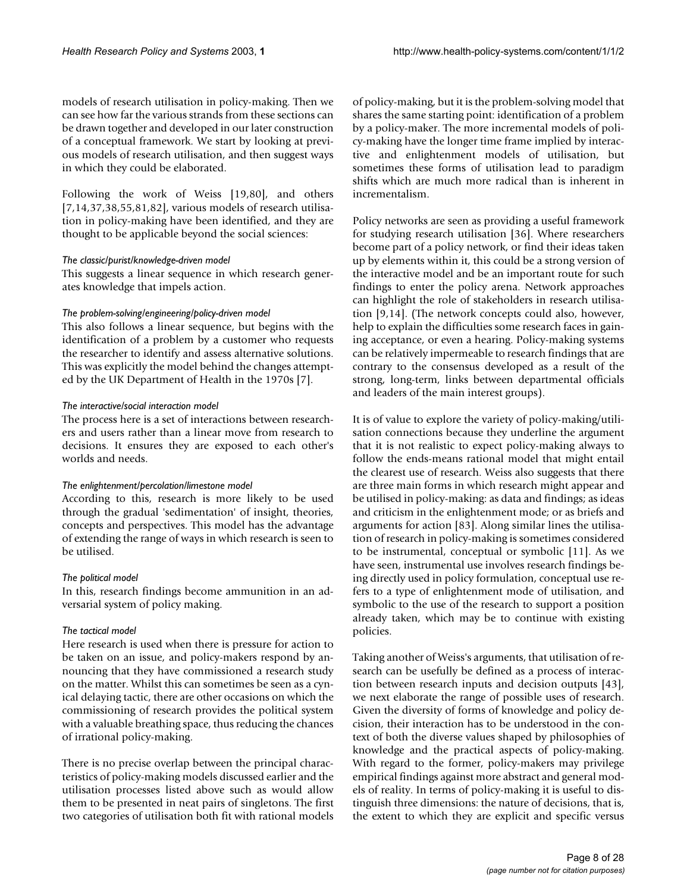models of research utilisation in policy-making. Then we can see how far the various strands from these sections can be drawn together and developed in our later construction of a conceptual framework. We start by looking at previous models of research utilisation, and then suggest ways in which they could be elaborated.

Following the work of Weiss [19,80], and others [7,14,37,38,55,81,82], various models of research utilisation in policy-making have been identified, and they are thought to be applicable beyond the social sciences:

#### *The classic/purist/knowledge-driven model*

This suggests a linear sequence in which research generates knowledge that impels action.

#### *The problem-solving/engineering/policy-driven model*

This also follows a linear sequence, but begins with the identification of a problem by a customer who requests the researcher to identify and assess alternative solutions. This was explicitly the model behind the changes attempted by the UK Department of Health in the 1970s [7].

#### *The interactive/social interaction model*

The process here is a set of interactions between researchers and users rather than a linear move from research to decisions. It ensures they are exposed to each other's worlds and needs.

#### *The enlightenment/percolation/limestone model*

According to this, research is more likely to be used through the gradual 'sedimentation' of insight, theories, concepts and perspectives. This model has the advantage of extending the range of ways in which research is seen to be utilised.

# *The political model*

In this, research findings become ammunition in an adversarial system of policy making.

# *The tactical model*

Here research is used when there is pressure for action to be taken on an issue, and policy-makers respond by announcing that they have commissioned a research study on the matter. Whilst this can sometimes be seen as a cynical delaying tactic, there are other occasions on which the commissioning of research provides the political system with a valuable breathing space, thus reducing the chances of irrational policy-making.

There is no precise overlap between the principal characteristics of policy-making models discussed earlier and the utilisation processes listed above such as would allow them to be presented in neat pairs of singletons. The first two categories of utilisation both fit with rational models of policy-making, but it is the problem-solving model that shares the same starting point: identification of a problem by a policy-maker. The more incremental models of policy-making have the longer time frame implied by interactive and enlightenment models of utilisation, but sometimes these forms of utilisation lead to paradigm shifts which are much more radical than is inherent in incrementalism.

Policy networks are seen as providing a useful framework for studying research utilisation [36]. Where researchers become part of a policy network, or find their ideas taken up by elements within it, this could be a strong version of the interactive model and be an important route for such findings to enter the policy arena. Network approaches can highlight the role of stakeholders in research utilisation [9,14]. (The network concepts could also, however, help to explain the difficulties some research faces in gaining acceptance, or even a hearing. Policy-making systems can be relatively impermeable to research findings that are contrary to the consensus developed as a result of the strong, long-term, links between departmental officials and leaders of the main interest groups).

It is of value to explore the variety of policy-making/utilisation connections because they underline the argument that it is not realistic to expect policy-making always to follow the ends-means rational model that might entail the clearest use of research. Weiss also suggests that there are three main forms in which research might appear and be utilised in policy-making: as data and findings; as ideas and criticism in the enlightenment mode; or as briefs and arguments for action [83]. Along similar lines the utilisation of research in policy-making is sometimes considered to be instrumental, conceptual or symbolic [11]. As we have seen, instrumental use involves research findings being directly used in policy formulation, conceptual use refers to a type of enlightenment mode of utilisation, and symbolic to the use of the research to support a position already taken, which may be to continue with existing policies.

Taking another of Weiss's arguments, that utilisation of research can be usefully be defined as a process of interaction between research inputs and decision outputs [43], we next elaborate the range of possible uses of research. Given the diversity of forms of knowledge and policy decision, their interaction has to be understood in the context of both the diverse values shaped by philosophies of knowledge and the practical aspects of policy-making. With regard to the former, policy-makers may privilege empirical findings against more abstract and general models of reality. In terms of policy-making it is useful to distinguish three dimensions: the nature of decisions, that is, the extent to which they are explicit and specific versus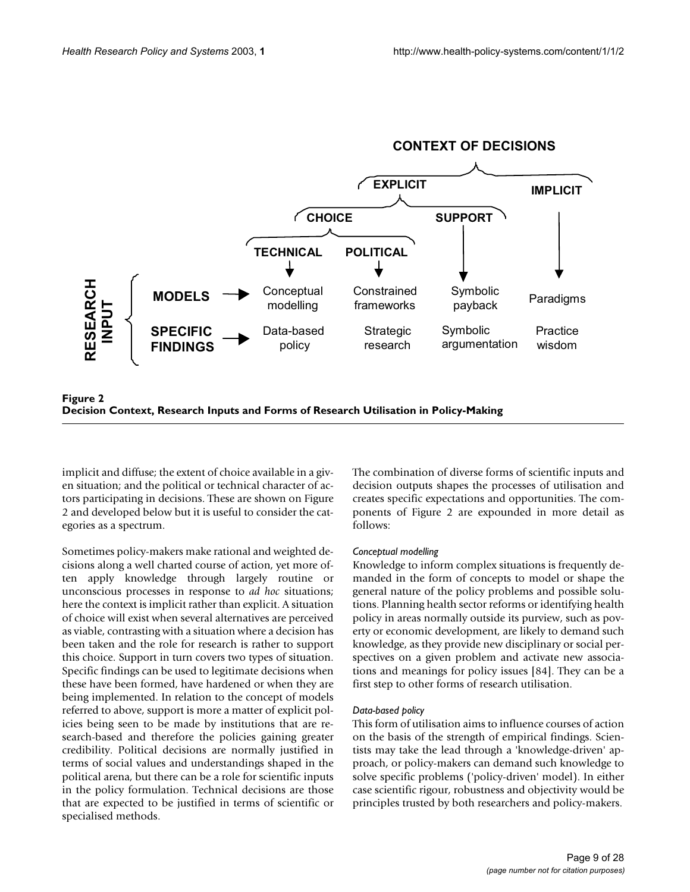

implicit and diffuse; the extent of choice available in a given situation; and the political or technical character of actors participating in decisions. These are shown on Figure 2 and developed below but it is useful to consider the categories as a spectrum.

Sometimes policy-makers make rational and weighted decisions along a well charted course of action, yet more often apply knowledge through largely routine or unconscious processes in response to *ad hoc* situations; here the context is implicit rather than explicit. A situation of choice will exist when several alternatives are perceived as viable, contrasting with a situation where a decision has been taken and the role for research is rather to support this choice. Support in turn covers two types of situation. Specific findings can be used to legitimate decisions when these have been formed, have hardened or when they are being implemented. In relation to the concept of models referred to above, support is more a matter of explicit policies being seen to be made by institutions that are research-based and therefore the policies gaining greater credibility. Political decisions are normally justified in terms of social values and understandings shaped in the political arena, but there can be a role for scientific inputs in the policy formulation. Technical decisions are those that are expected to be justified in terms of scientific or specialised methods.

The combination of diverse forms of scientific inputs and decision outputs shapes the processes of utilisation and creates specific expectations and opportunities. The components of Figure 2 are expounded in more detail as follows:

#### *Conceptual modelling*

Knowledge to inform complex situations is frequently demanded in the form of concepts to model or shape the general nature of the policy problems and possible solutions. Planning health sector reforms or identifying health policy in areas normally outside its purview, such as poverty or economic development, are likely to demand such knowledge, as they provide new disciplinary or social perspectives on a given problem and activate new associations and meanings for policy issues [84]. They can be a first step to other forms of research utilisation.

#### *Data-based policy*

This form of utilisation aims to influence courses of action on the basis of the strength of empirical findings. Scientists may take the lead through a 'knowledge-driven' approach, or policy-makers can demand such knowledge to solve specific problems ('policy-driven' model). In either case scientific rigour, robustness and objectivity would be principles trusted by both researchers and policy-makers.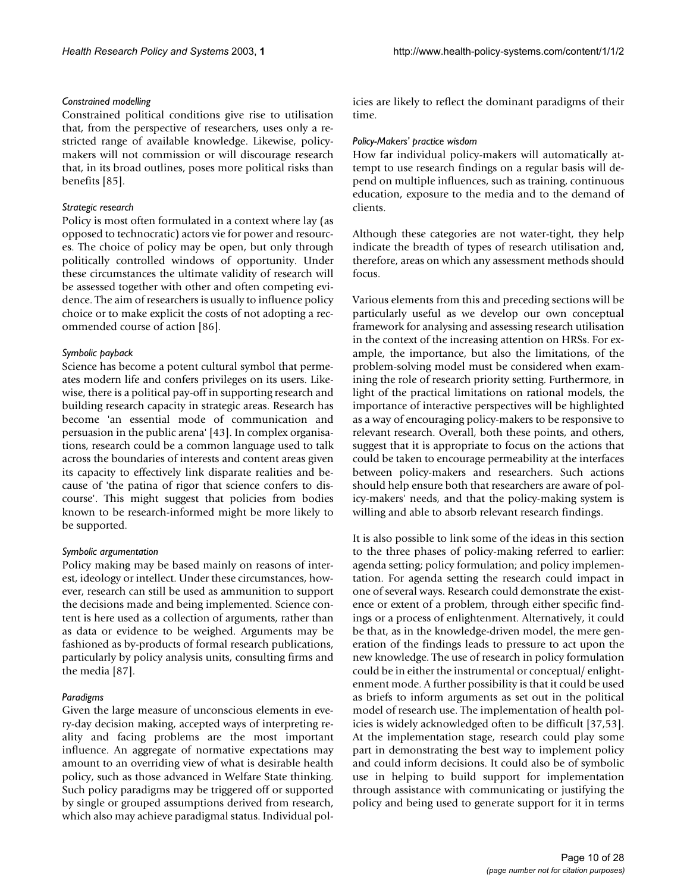#### *Constrained modelling*

Constrained political conditions give rise to utilisation that, from the perspective of researchers, uses only a restricted range of available knowledge. Likewise, policymakers will not commission or will discourage research that, in its broad outlines, poses more political risks than benefits [85].

#### *Strategic research*

Policy is most often formulated in a context where lay (as opposed to technocratic) actors vie for power and resources. The choice of policy may be open, but only through politically controlled windows of opportunity. Under these circumstances the ultimate validity of research will be assessed together with other and often competing evidence. The aim of researchers is usually to influence policy choice or to make explicit the costs of not adopting a recommended course of action [86].

#### *Symbolic payback*

Science has become a potent cultural symbol that permeates modern life and confers privileges on its users. Likewise, there is a political pay-off in supporting research and building research capacity in strategic areas. Research has become 'an essential mode of communication and persuasion in the public arena' [43]. In complex organisations, research could be a common language used to talk across the boundaries of interests and content areas given its capacity to effectively link disparate realities and because of 'the patina of rigor that science confers to discourse'. This might suggest that policies from bodies known to be research-informed might be more likely to be supported.

#### *Symbolic argumentation*

Policy making may be based mainly on reasons of interest, ideology or intellect. Under these circumstances, however, research can still be used as ammunition to support the decisions made and being implemented. Science content is here used as a collection of arguments, rather than as data or evidence to be weighed. Arguments may be fashioned as by-products of formal research publications, particularly by policy analysis units, consulting firms and the media [87].

#### *Paradigms*

Given the large measure of unconscious elements in every-day decision making, accepted ways of interpreting reality and facing problems are the most important influence. An aggregate of normative expectations may amount to an overriding view of what is desirable health policy, such as those advanced in Welfare State thinking. Such policy paradigms may be triggered off or supported by single or grouped assumptions derived from research, which also may achieve paradigmal status. Individual policies are likely to reflect the dominant paradigms of their time.

#### *Policy-Makers' practice wisdom*

How far individual policy-makers will automatically attempt to use research findings on a regular basis will depend on multiple influences, such as training, continuous education, exposure to the media and to the demand of clients.

Although these categories are not water-tight, they help indicate the breadth of types of research utilisation and, therefore, areas on which any assessment methods should focus.

Various elements from this and preceding sections will be particularly useful as we develop our own conceptual framework for analysing and assessing research utilisation in the context of the increasing attention on HRSs. For example, the importance, but also the limitations, of the problem-solving model must be considered when examining the role of research priority setting. Furthermore, in light of the practical limitations on rational models, the importance of interactive perspectives will be highlighted as a way of encouraging policy-makers to be responsive to relevant research. Overall, both these points, and others, suggest that it is appropriate to focus on the actions that could be taken to encourage permeability at the interfaces between policy-makers and researchers. Such actions should help ensure both that researchers are aware of policy-makers' needs, and that the policy-making system is willing and able to absorb relevant research findings.

It is also possible to link some of the ideas in this section to the three phases of policy-making referred to earlier: agenda setting; policy formulation; and policy implementation. For agenda setting the research could impact in one of several ways. Research could demonstrate the existence or extent of a problem, through either specific findings or a process of enlightenment. Alternatively, it could be that, as in the knowledge-driven model, the mere generation of the findings leads to pressure to act upon the new knowledge. The use of research in policy formulation could be in either the instrumental or conceptual/ enlightenment mode. A further possibility is that it could be used as briefs to inform arguments as set out in the political model of research use. The implementation of health policies is widely acknowledged often to be difficult [37,53]. At the implementation stage, research could play some part in demonstrating the best way to implement policy and could inform decisions. It could also be of symbolic use in helping to build support for implementation through assistance with communicating or justifying the policy and being used to generate support for it in terms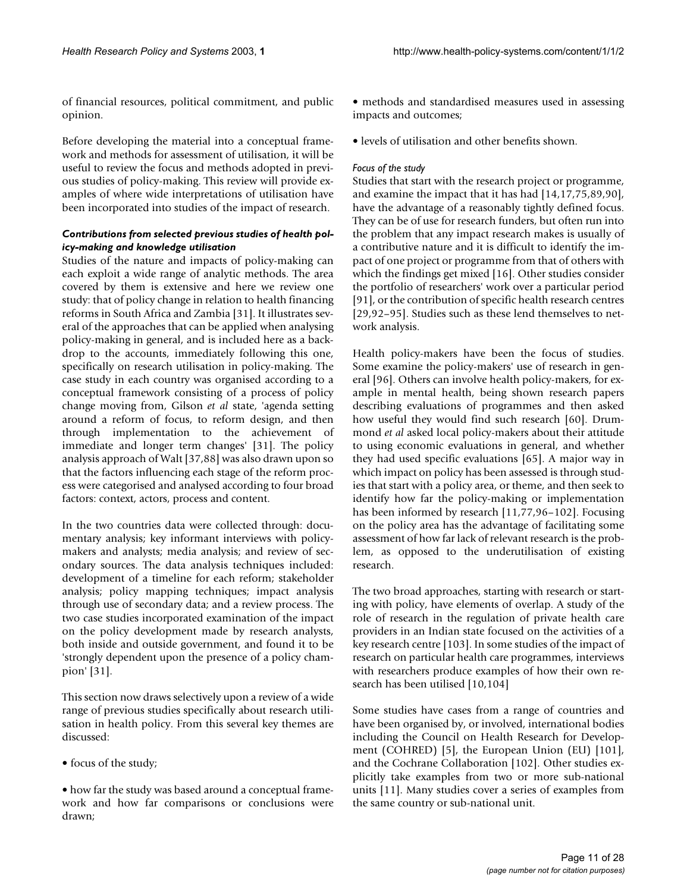of financial resources, political commitment, and public opinion.

Before developing the material into a conceptual framework and methods for assessment of utilisation, it will be useful to review the focus and methods adopted in previous studies of policy-making. This review will provide examples of where wide interpretations of utilisation have been incorporated into studies of the impact of research.

# *Contributions from selected previous studies of health policy-making and knowledge utilisation*

Studies of the nature and impacts of policy-making can each exploit a wide range of analytic methods. The area covered by them is extensive and here we review one study: that of policy change in relation to health financing reforms in South Africa and Zambia [31]. It illustrates several of the approaches that can be applied when analysing policy-making in general, and is included here as a backdrop to the accounts, immediately following this one, specifically on research utilisation in policy-making. The case study in each country was organised according to a conceptual framework consisting of a process of policy change moving from, Gilson *et al* state, 'agenda setting around a reform of focus, to reform design, and then through implementation to the achievement of immediate and longer term changes' [31]. The policy analysis approach of Walt [37,88] was also drawn upon so that the factors influencing each stage of the reform process were categorised and analysed according to four broad factors: context, actors, process and content.

In the two countries data were collected through: documentary analysis; key informant interviews with policymakers and analysts; media analysis; and review of secondary sources. The data analysis techniques included: development of a timeline for each reform; stakeholder analysis; policy mapping techniques; impact analysis through use of secondary data; and a review process. The two case studies incorporated examination of the impact on the policy development made by research analysts, both inside and outside government, and found it to be 'strongly dependent upon the presence of a policy champion' [31].

This section now draws selectively upon a review of a wide range of previous studies specifically about research utilisation in health policy. From this several key themes are discussed:

• focus of the study;

• how far the study was based around a conceptual framework and how far comparisons or conclusions were drawn;

• methods and standardised measures used in assessing impacts and outcomes;

• levels of utilisation and other benefits shown.

#### *Focus of the study*

Studies that start with the research project or programme, and examine the impact that it has had [14,17,75,89,90], have the advantage of a reasonably tightly defined focus. They can be of use for research funders, but often run into the problem that any impact research makes is usually of a contributive nature and it is difficult to identify the impact of one project or programme from that of others with which the findings get mixed [16]. Other studies consider the portfolio of researchers' work over a particular period [91], or the contribution of specific health research centres [29,92–95]. Studies such as these lend themselves to network analysis.

Health policy-makers have been the focus of studies. Some examine the policy-makers' use of research in general [96]. Others can involve health policy-makers, for example in mental health, being shown research papers describing evaluations of programmes and then asked how useful they would find such research [60]. Drummond *et al* asked local policy-makers about their attitude to using economic evaluations in general, and whether they had used specific evaluations [65]. A major way in which impact on policy has been assessed is through studies that start with a policy area, or theme, and then seek to identify how far the policy-making or implementation has been informed by research [11,77,96–102]. Focusing on the policy area has the advantage of facilitating some assessment of how far lack of relevant research is the problem, as opposed to the underutilisation of existing research.

The two broad approaches, starting with research or starting with policy, have elements of overlap. A study of the role of research in the regulation of private health care providers in an Indian state focused on the activities of a key research centre [103]. In some studies of the impact of research on particular health care programmes, interviews with researchers produce examples of how their own research has been utilised [10,104]

Some studies have cases from a range of countries and have been organised by, or involved, international bodies including the Council on Health Research for Development (COHRED) [5], the European Union (EU) [101], and the Cochrane Collaboration [102]. Other studies explicitly take examples from two or more sub-national units [11]. Many studies cover a series of examples from the same country or sub-national unit.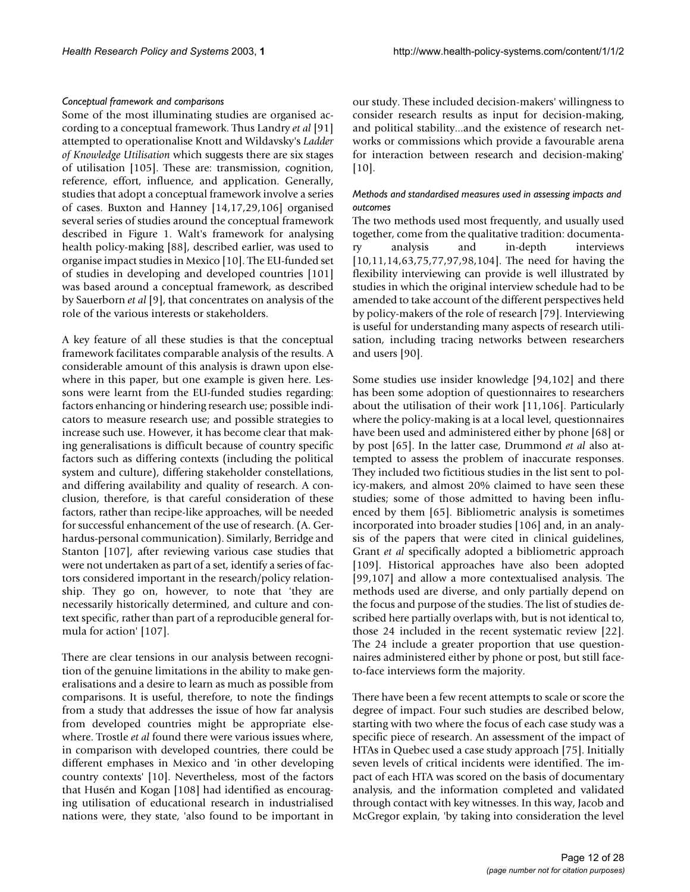#### *Conceptual framework and comparisons*

Some of the most illuminating studies are organised according to a conceptual framework. Thus Landry *et al* [91] attempted to operationalise Knott and Wildavsky's *Ladder of Knowledge Utilisation* which suggests there are six stages of utilisation [105]. These are: transmission, cognition, reference, effort, influence, and application. Generally, studies that adopt a conceptual framework involve a series of cases. Buxton and Hanney [14,17,29,106] organised several series of studies around the conceptual framework described in Figure [1](#page-3-0). Walt's framework for analysing health policy-making [88], described earlier, was used to organise impact studies in Mexico [10]. The EU-funded set of studies in developing and developed countries [101] was based around a conceptual framework, as described by Sauerborn *et al* [9], that concentrates on analysis of the role of the various interests or stakeholders.

A key feature of all these studies is that the conceptual framework facilitates comparable analysis of the results. A considerable amount of this analysis is drawn upon elsewhere in this paper, but one example is given here. Lessons were learnt from the EU-funded studies regarding: factors enhancing or hindering research use; possible indicators to measure research use; and possible strategies to increase such use. However, it has become clear that making generalisations is difficult because of country specific factors such as differing contexts (including the political system and culture), differing stakeholder constellations, and differing availability and quality of research. A conclusion, therefore, is that careful consideration of these factors, rather than recipe-like approaches, will be needed for successful enhancement of the use of research. (A. Gerhardus-personal communication). Similarly, Berridge and Stanton [107], after reviewing various case studies that were not undertaken as part of a set, identify a series of factors considered important in the research/policy relationship. They go on, however, to note that 'they are necessarily historically determined, and culture and context specific, rather than part of a reproducible general formula for action' [107].

There are clear tensions in our analysis between recognition of the genuine limitations in the ability to make generalisations and a desire to learn as much as possible from comparisons. It is useful, therefore, to note the findings from a study that addresses the issue of how far analysis from developed countries might be appropriate elsewhere. Trostle *et al* found there were various issues where, in comparison with developed countries, there could be different emphases in Mexico and 'in other developing country contexts' [10]. Nevertheless, most of the factors that Husén and Kogan [108] had identified as encouraging utilisation of educational research in industrialised nations were, they state, 'also found to be important in

our study. These included decision-makers' willingness to consider research results as input for decision-making, and political stability...and the existence of research networks or commissions which provide a favourable arena for interaction between research and decision-making'  $[10]$ .

#### *Methods and standardised measures used in assessing impacts and outcomes*

The two methods used most frequently, and usually used together, come from the qualitative tradition: documentary analysis and in-depth interviews [10,11,14,63,75,77,97,98,104]. The need for having the flexibility interviewing can provide is well illustrated by studies in which the original interview schedule had to be amended to take account of the different perspectives held by policy-makers of the role of research [79]. Interviewing is useful for understanding many aspects of research utilisation, including tracing networks between researchers and users [90].

Some studies use insider knowledge [94,102] and there has been some adoption of questionnaires to researchers about the utilisation of their work [11,106]. Particularly where the policy-making is at a local level, questionnaires have been used and administered either by phone [68] or by post [65]. In the latter case, Drummond *et al* also attempted to assess the problem of inaccurate responses. They included two fictitious studies in the list sent to policy-makers, and almost 20% claimed to have seen these studies; some of those admitted to having been influenced by them [65]. Bibliometric analysis is sometimes incorporated into broader studies [106] and, in an analysis of the papers that were cited in clinical guidelines, Grant *et al* specifically adopted a bibliometric approach [109]. Historical approaches have also been adopted [99,107] and allow a more contextualised analysis. The methods used are diverse, and only partially depend on the focus and purpose of the studies. The list of studies described here partially overlaps with, but is not identical to, those 24 included in the recent systematic review [22]. The 24 include a greater proportion that use questionnaires administered either by phone or post, but still faceto-face interviews form the majority.

There have been a few recent attempts to scale or score the degree of impact. Four such studies are described below, starting with two where the focus of each case study was a specific piece of research. An assessment of the impact of HTAs in Quebec used a case study approach [75]. Initially seven levels of critical incidents were identified. The impact of each HTA was scored on the basis of documentary analysis, and the information completed and validated through contact with key witnesses. In this way, Jacob and McGregor explain, 'by taking into consideration the level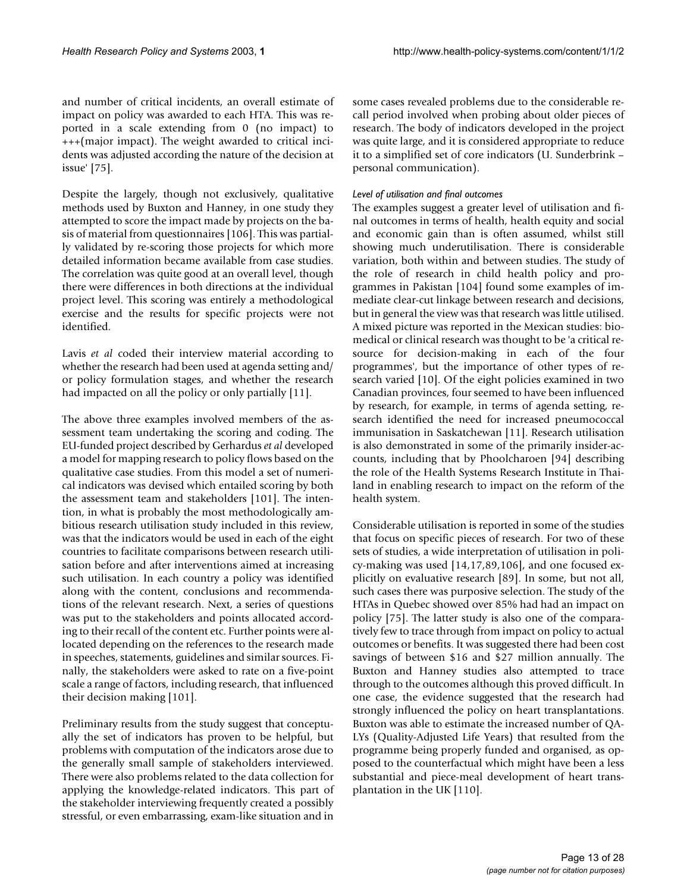and number of critical incidents, an overall estimate of impact on policy was awarded to each HTA. This was reported in a scale extending from 0 (no impact) to +++(major impact). The weight awarded to critical incidents was adjusted according the nature of the decision at issue' [75].

Despite the largely, though not exclusively, qualitative methods used by Buxton and Hanney, in one study they attempted to score the impact made by projects on the basis of material from questionnaires [106]. This was partially validated by re-scoring those projects for which more detailed information became available from case studies. The correlation was quite good at an overall level, though there were differences in both directions at the individual project level. This scoring was entirely a methodological exercise and the results for specific projects were not identified.

Lavis *et al* coded their interview material according to whether the research had been used at agenda setting and/ or policy formulation stages, and whether the research had impacted on all the policy or only partially [11].

The above three examples involved members of the assessment team undertaking the scoring and coding. The EU-funded project described by Gerhardus *et al* developed a model for mapping research to policy flows based on the qualitative case studies. From this model a set of numerical indicators was devised which entailed scoring by both the assessment team and stakeholders [101]. The intention, in what is probably the most methodologically ambitious research utilisation study included in this review, was that the indicators would be used in each of the eight countries to facilitate comparisons between research utilisation before and after interventions aimed at increasing such utilisation. In each country a policy was identified along with the content, conclusions and recommendations of the relevant research. Next, a series of questions was put to the stakeholders and points allocated according to their recall of the content etc. Further points were allocated depending on the references to the research made in speeches, statements, guidelines and similar sources. Finally, the stakeholders were asked to rate on a five-point scale a range of factors, including research, that influenced their decision making [101].

Preliminary results from the study suggest that conceptually the set of indicators has proven to be helpful, but problems with computation of the indicators arose due to the generally small sample of stakeholders interviewed. There were also problems related to the data collection for applying the knowledge-related indicators. This part of the stakeholder interviewing frequently created a possibly stressful, or even embarrassing, exam-like situation and in some cases revealed problems due to the considerable recall period involved when probing about older pieces of research. The body of indicators developed in the project was quite large, and it is considered appropriate to reduce it to a simplified set of core indicators (U. Sunderbrink – personal communication).

# *Level of utilisation and final outcomes*

The examples suggest a greater level of utilisation and final outcomes in terms of health, health equity and social and economic gain than is often assumed, whilst still showing much underutilisation. There is considerable variation, both within and between studies. The study of the role of research in child health policy and programmes in Pakistan [104] found some examples of immediate clear-cut linkage between research and decisions, but in general the view was that research was little utilised. A mixed picture was reported in the Mexican studies: biomedical or clinical research was thought to be 'a critical resource for decision-making in each of the four programmes', but the importance of other types of research varied [10]. Of the eight policies examined in two Canadian provinces, four seemed to have been influenced by research, for example, in terms of agenda setting, research identified the need for increased pneumococcal immunisation in Saskatchewan [11]. Research utilisation is also demonstrated in some of the primarily insider-accounts, including that by Phoolcharoen [94] describing the role of the Health Systems Research Institute in Thailand in enabling research to impact on the reform of the health system.

Considerable utilisation is reported in some of the studies that focus on specific pieces of research. For two of these sets of studies, a wide interpretation of utilisation in policy-making was used [14,17,89,106], and one focused explicitly on evaluative research [89]. In some, but not all, such cases there was purposive selection. The study of the HTAs in Quebec showed over 85% had had an impact on policy [75]. The latter study is also one of the comparatively few to trace through from impact on policy to actual outcomes or benefits. It was suggested there had been cost savings of between \$16 and \$27 million annually. The Buxton and Hanney studies also attempted to trace through to the outcomes although this proved difficult. In one case, the evidence suggested that the research had strongly influenced the policy on heart transplantations. Buxton was able to estimate the increased number of QA-LYs (Quality-Adjusted Life Years) that resulted from the programme being properly funded and organised, as opposed to the counterfactual which might have been a less substantial and piece-meal development of heart transplantation in the UK [110].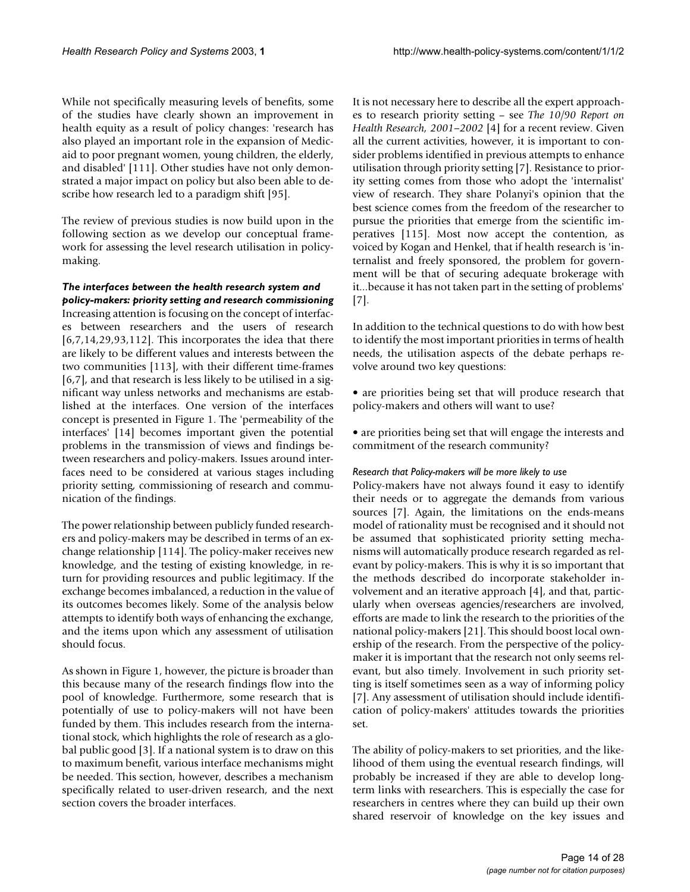While not specifically measuring levels of benefits, some of the studies have clearly shown an improvement in health equity as a result of policy changes: 'research has also played an important role in the expansion of Medicaid to poor pregnant women, young children, the elderly, and disabled' [111]. Other studies have not only demonstrated a major impact on policy but also been able to describe how research led to a paradigm shift [95].

The review of previous studies is now build upon in the following section as we develop our conceptual framework for assessing the level research utilisation in policymaking.

*The interfaces between the health research system and policy-makers: priority setting and research commissioning*

Increasing attention is focusing on the concept of interfaces between researchers and the users of research [6,7,14,29,93,112]. This incorporates the idea that there are likely to be different values and interests between the two communities [113], with their different time-frames [6,7], and that research is less likely to be utilised in a significant way unless networks and mechanisms are established at the interfaces. One version of the interfaces concept is presented in Figure [1](#page-3-0). The 'permeability of the interfaces' [14] becomes important given the potential problems in the transmission of views and findings between researchers and policy-makers. Issues around interfaces need to be considered at various stages including priority setting, commissioning of research and communication of the findings.

The power relationship between publicly funded researchers and policy-makers may be described in terms of an exchange relationship [114]. The policy-maker receives new knowledge, and the testing of existing knowledge, in return for providing resources and public legitimacy. If the exchange becomes imbalanced, a reduction in the value of its outcomes becomes likely. Some of the analysis below attempts to identify both ways of enhancing the exchange, and the items upon which any assessment of utilisation should focus.

As shown in Figure [1,](#page-3-0) however, the picture is broader than this because many of the research findings flow into the pool of knowledge. Furthermore, some research that is potentially of use to policy-makers will not have been funded by them. This includes research from the international stock, which highlights the role of research as a global public good [3]. If a national system is to draw on this to maximum benefit, various interface mechanisms might be needed. This section, however, describes a mechanism specifically related to user-driven research, and the next section covers the broader interfaces.

It is not necessary here to describe all the expert approaches to research priority setting – see *The 10/90 Report on Health Research, 2001–2002* [4] for a recent review. Given all the current activities, however, it is important to consider problems identified in previous attempts to enhance utilisation through priority setting [7]. Resistance to priority setting comes from those who adopt the 'internalist' view of research. They share Polanyi's opinion that the best science comes from the freedom of the researcher to pursue the priorities that emerge from the scientific imperatives [115]. Most now accept the contention, as voiced by Kogan and Henkel, that if health research is 'internalist and freely sponsored, the problem for government will be that of securing adequate brokerage with it...because it has not taken part in the setting of problems'  $|7|$ .

In addition to the technical questions to do with how best to identify the most important priorities in terms of health needs, the utilisation aspects of the debate perhaps revolve around two key questions:

• are priorities being set that will produce research that policy-makers and others will want to use?

• are priorities being set that will engage the interests and commitment of the research community?

# *Research that Policy-makers will be more likely to use*

Policy-makers have not always found it easy to identify their needs or to aggregate the demands from various sources [7]. Again, the limitations on the ends-means model of rationality must be recognised and it should not be assumed that sophisticated priority setting mechanisms will automatically produce research regarded as relevant by policy-makers. This is why it is so important that the methods described do incorporate stakeholder involvement and an iterative approach [4], and that, particularly when overseas agencies/researchers are involved, efforts are made to link the research to the priorities of the national policy-makers [21]. This should boost local ownership of the research. From the perspective of the policymaker it is important that the research not only seems relevant, but also timely. Involvement in such priority setting is itself sometimes seen as a way of informing policy [7]. Any assessment of utilisation should include identification of policy-makers' attitudes towards the priorities set.

The ability of policy-makers to set priorities, and the likelihood of them using the eventual research findings, will probably be increased if they are able to develop longterm links with researchers. This is especially the case for researchers in centres where they can build up their own shared reservoir of knowledge on the key issues and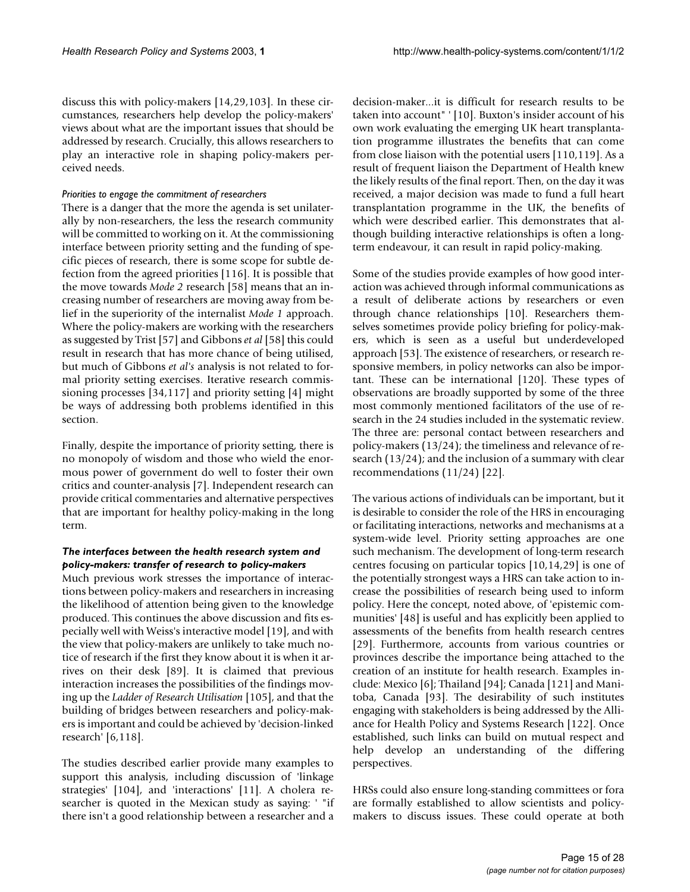discuss this with policy-makers [14,29,103]. In these circumstances, researchers help develop the policy-makers' views about what are the important issues that should be addressed by research. Crucially, this allows researchers to play an interactive role in shaping policy-makers perceived needs.

#### *Priorities to engage the commitment of researchers*

There is a danger that the more the agenda is set unilaterally by non-researchers, the less the research community will be committed to working on it. At the commissioning interface between priority setting and the funding of specific pieces of research, there is some scope for subtle defection from the agreed priorities [116]. It is possible that the move towards *Mode 2* research [58] means that an increasing number of researchers are moving away from belief in the superiority of the internalist *Mode 1* approach. Where the policy-makers are working with the researchers as suggested by Trist [57] and Gibbons *et al* [58] this could result in research that has more chance of being utilised, but much of Gibbons *et al's* analysis is not related to formal priority setting exercises. Iterative research commissioning processes [34,117] and priority setting [4] might be ways of addressing both problems identified in this section.

Finally, despite the importance of priority setting, there is no monopoly of wisdom and those who wield the enormous power of government do well to foster their own critics and counter-analysis [7]. Independent research can provide critical commentaries and alternative perspectives that are important for healthy policy-making in the long term.

# *The interfaces between the health research system and policy-makers: transfer of research to policy-makers*

Much previous work stresses the importance of interactions between policy-makers and researchers in increasing the likelihood of attention being given to the knowledge produced. This continues the above discussion and fits especially well with Weiss's interactive model [19], and with the view that policy-makers are unlikely to take much notice of research if the first they know about it is when it arrives on their desk [89]. It is claimed that previous interaction increases the possibilities of the findings moving up the *Ladder of Research Utilisation* [105], and that the building of bridges between researchers and policy-makers is important and could be achieved by 'decision-linked research' [6,118].

The studies described earlier provide many examples to support this analysis, including discussion of 'linkage strategies' [104], and 'interactions' [11]. A cholera researcher is quoted in the Mexican study as saying: ' "if there isn't a good relationship between a researcher and a

decision-maker...it is difficult for research results to be taken into account" ' [10]. Buxton's insider account of his own work evaluating the emerging UK heart transplantation programme illustrates the benefits that can come from close liaison with the potential users [110,119]. As a result of frequent liaison the Department of Health knew the likely results of the final report. Then, on the day it was received, a major decision was made to fund a full heart transplantation programme in the UK, the benefits of which were described earlier. This demonstrates that although building interactive relationships is often a longterm endeavour, it can result in rapid policy-making.

Some of the studies provide examples of how good interaction was achieved through informal communications as a result of deliberate actions by researchers or even through chance relationships [10]. Researchers themselves sometimes provide policy briefing for policy-makers, which is seen as a useful but underdeveloped approach [53]. The existence of researchers, or research responsive members, in policy networks can also be important. These can be international [120]. These types of observations are broadly supported by some of the three most commonly mentioned facilitators of the use of research in the 24 studies included in the systematic review. The three are: personal contact between researchers and policy-makers (13/24); the timeliness and relevance of research (13/24); and the inclusion of a summary with clear recommendations (11/24) [22].

The various actions of individuals can be important, but it is desirable to consider the role of the HRS in encouraging or facilitating interactions, networks and mechanisms at a system-wide level. Priority setting approaches are one such mechanism. The development of long-term research centres focusing on particular topics [10,14,29] is one of the potentially strongest ways a HRS can take action to increase the possibilities of research being used to inform policy. Here the concept, noted above, of 'epistemic communities' [48] is useful and has explicitly been applied to assessments of the benefits from health research centres [29]. Furthermore, accounts from various countries or provinces describe the importance being attached to the creation of an institute for health research. Examples include: Mexico [6]; Thailand [94]; Canada [121] and Manitoba, Canada [93]. The desirability of such institutes engaging with stakeholders is being addressed by the Alliance for Health Policy and Systems Research [122]. Once established, such links can build on mutual respect and help develop an understanding of the differing perspectives.

HRSs could also ensure long-standing committees or fora are formally established to allow scientists and policymakers to discuss issues. These could operate at both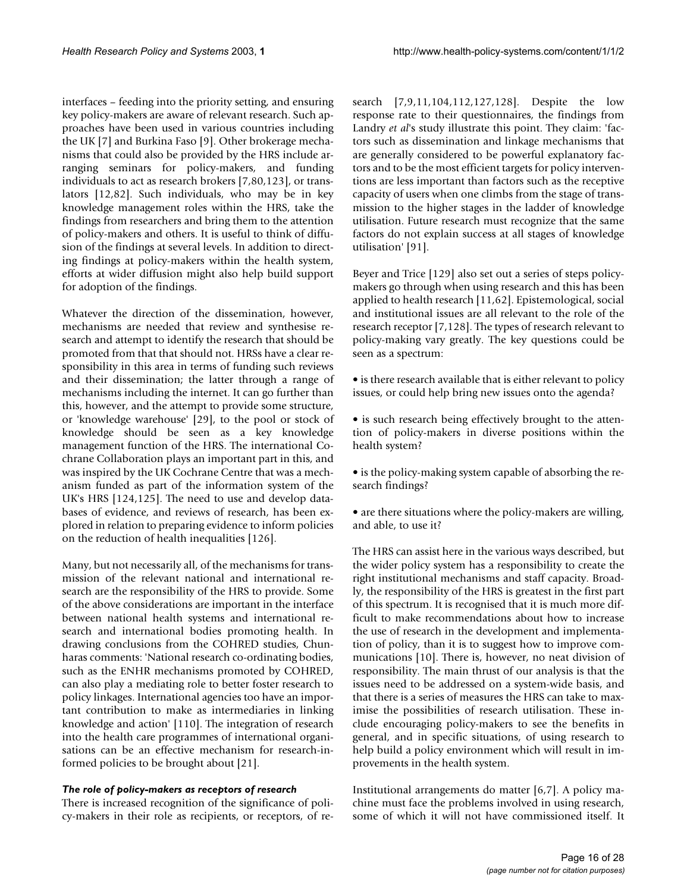interfaces – feeding into the priority setting, and ensuring key policy-makers are aware of relevant research. Such approaches have been used in various countries including the UK [7] and Burkina Faso [9]. Other brokerage mechanisms that could also be provided by the HRS include arranging seminars for policy-makers, and funding individuals to act as research brokers [7,80,123], or translators [12,82]. Such individuals, who may be in key knowledge management roles within the HRS, take the findings from researchers and bring them to the attention of policy-makers and others. It is useful to think of diffusion of the findings at several levels. In addition to directing findings at policy-makers within the health system, efforts at wider diffusion might also help build support for adoption of the findings.

Whatever the direction of the dissemination, however, mechanisms are needed that review and synthesise research and attempt to identify the research that should be promoted from that that should not. HRSs have a clear responsibility in this area in terms of funding such reviews and their dissemination; the latter through a range of mechanisms including the internet. It can go further than this, however, and the attempt to provide some structure, or 'knowledge warehouse' [29], to the pool or stock of knowledge should be seen as a key knowledge management function of the HRS. The international Cochrane Collaboration plays an important part in this, and was inspired by the UK Cochrane Centre that was a mechanism funded as part of the information system of the UK's HRS [124,125]. The need to use and develop databases of evidence, and reviews of research, has been explored in relation to preparing evidence to inform policies on the reduction of health inequalities [126].

Many, but not necessarily all, of the mechanisms for transmission of the relevant national and international research are the responsibility of the HRS to provide. Some of the above considerations are important in the interface between national health systems and international research and international bodies promoting health. In drawing conclusions from the COHRED studies, Chunharas comments: 'National research co-ordinating bodies, such as the ENHR mechanisms promoted by COHRED, can also play a mediating role to better foster research to policy linkages. International agencies too have an important contribution to make as intermediaries in linking knowledge and action' [110]. The integration of research into the health care programmes of international organisations can be an effective mechanism for research-informed policies to be brought about [21].

# *The role of policy-makers as receptors of research*

There is increased recognition of the significance of policy-makers in their role as recipients, or receptors, of research [7,9,11,104,112,127,128]. Despite the low response rate to their questionnaires, the findings from Landry *et al*'s study illustrate this point. They claim: 'factors such as dissemination and linkage mechanisms that are generally considered to be powerful explanatory factors and to be the most efficient targets for policy interventions are less important than factors such as the receptive capacity of users when one climbs from the stage of transmission to the higher stages in the ladder of knowledge utilisation. Future research must recognize that the same factors do not explain success at all stages of knowledge utilisation' [91].

Beyer and Trice [129] also set out a series of steps policymakers go through when using research and this has been applied to health research [11,62]. Epistemological, social and institutional issues are all relevant to the role of the research receptor [7,128]. The types of research relevant to policy-making vary greatly. The key questions could be seen as a spectrum:

• is there research available that is either relevant to policy issues, or could help bring new issues onto the agenda?

• is such research being effectively brought to the attention of policy-makers in diverse positions within the health system?

• is the policy-making system capable of absorbing the research findings?

• are there situations where the policy-makers are willing, and able, to use it?

The HRS can assist here in the various ways described, but the wider policy system has a responsibility to create the right institutional mechanisms and staff capacity. Broadly, the responsibility of the HRS is greatest in the first part of this spectrum. It is recognised that it is much more difficult to make recommendations about how to increase the use of research in the development and implementation of policy, than it is to suggest how to improve communications [10]. There is, however, no neat division of responsibility. The main thrust of our analysis is that the issues need to be addressed on a system-wide basis, and that there is a series of measures the HRS can take to maximise the possibilities of research utilisation. These include encouraging policy-makers to see the benefits in general, and in specific situations, of using research to help build a policy environment which will result in improvements in the health system.

Institutional arrangements do matter [6,7]. A policy machine must face the problems involved in using research, some of which it will not have commissioned itself. It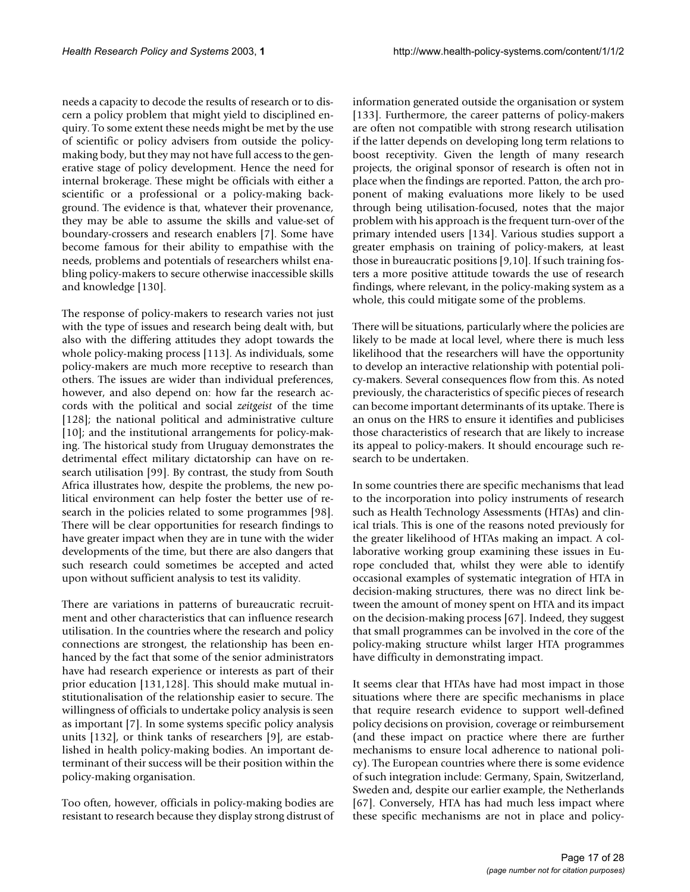needs a capacity to decode the results of research or to discern a policy problem that might yield to disciplined enquiry. To some extent these needs might be met by the use of scientific or policy advisers from outside the policymaking body, but they may not have full access to the generative stage of policy development. Hence the need for internal brokerage. These might be officials with either a scientific or a professional or a policy-making background. The evidence is that, whatever their provenance, they may be able to assume the skills and value-set of boundary-crossers and research enablers [7]. Some have become famous for their ability to empathise with the needs, problems and potentials of researchers whilst enabling policy-makers to secure otherwise inaccessible skills and knowledge [130].

The response of policy-makers to research varies not just with the type of issues and research being dealt with, but also with the differing attitudes they adopt towards the whole policy-making process [113]. As individuals, some policy-makers are much more receptive to research than others. The issues are wider than individual preferences, however, and also depend on: how far the research accords with the political and social *zeitgeist* of the time [128]; the national political and administrative culture [10]; and the institutional arrangements for policy-making. The historical study from Uruguay demonstrates the detrimental effect military dictatorship can have on research utilisation [99]. By contrast, the study from South Africa illustrates how, despite the problems, the new political environment can help foster the better use of research in the policies related to some programmes [98]. There will be clear opportunities for research findings to have greater impact when they are in tune with the wider developments of the time, but there are also dangers that such research could sometimes be accepted and acted upon without sufficient analysis to test its validity.

There are variations in patterns of bureaucratic recruitment and other characteristics that can influence research utilisation. In the countries where the research and policy connections are strongest, the relationship has been enhanced by the fact that some of the senior administrators have had research experience or interests as part of their prior education [131,128]. This should make mutual institutionalisation of the relationship easier to secure. The willingness of officials to undertake policy analysis is seen as important [7]. In some systems specific policy analysis units [132], or think tanks of researchers [9], are established in health policy-making bodies. An important determinant of their success will be their position within the policy-making organisation.

Too often, however, officials in policy-making bodies are resistant to research because they display strong distrust of information generated outside the organisation or system [133]. Furthermore, the career patterns of policy-makers are often not compatible with strong research utilisation if the latter depends on developing long term relations to boost receptivity. Given the length of many research projects, the original sponsor of research is often not in place when the findings are reported. Patton, the arch proponent of making evaluations more likely to be used through being utilisation-focused, notes that the major problem with his approach is the frequent turn-over of the primary intended users [134]. Various studies support a greater emphasis on training of policy-makers, at least those in bureaucratic positions [9,10]. If such training fosters a more positive attitude towards the use of research findings, where relevant, in the policy-making system as a whole, this could mitigate some of the problems.

There will be situations, particularly where the policies are likely to be made at local level, where there is much less likelihood that the researchers will have the opportunity to develop an interactive relationship with potential policy-makers. Several consequences flow from this. As noted previously, the characteristics of specific pieces of research can become important determinants of its uptake. There is an onus on the HRS to ensure it identifies and publicises those characteristics of research that are likely to increase its appeal to policy-makers. It should encourage such research to be undertaken.

In some countries there are specific mechanisms that lead to the incorporation into policy instruments of research such as Health Technology Assessments (HTAs) and clinical trials. This is one of the reasons noted previously for the greater likelihood of HTAs making an impact. A collaborative working group examining these issues in Europe concluded that, whilst they were able to identify occasional examples of systematic integration of HTA in decision-making structures, there was no direct link between the amount of money spent on HTA and its impact on the decision-making process [67]. Indeed, they suggest that small programmes can be involved in the core of the policy-making structure whilst larger HTA programmes have difficulty in demonstrating impact.

It seems clear that HTAs have had most impact in those situations where there are specific mechanisms in place that require research evidence to support well-defined policy decisions on provision, coverage or reimbursement (and these impact on practice where there are further mechanisms to ensure local adherence to national policy). The European countries where there is some evidence of such integration include: Germany, Spain, Switzerland, Sweden and, despite our earlier example, the Netherlands [67]. Conversely, HTA has had much less impact where these specific mechanisms are not in place and policy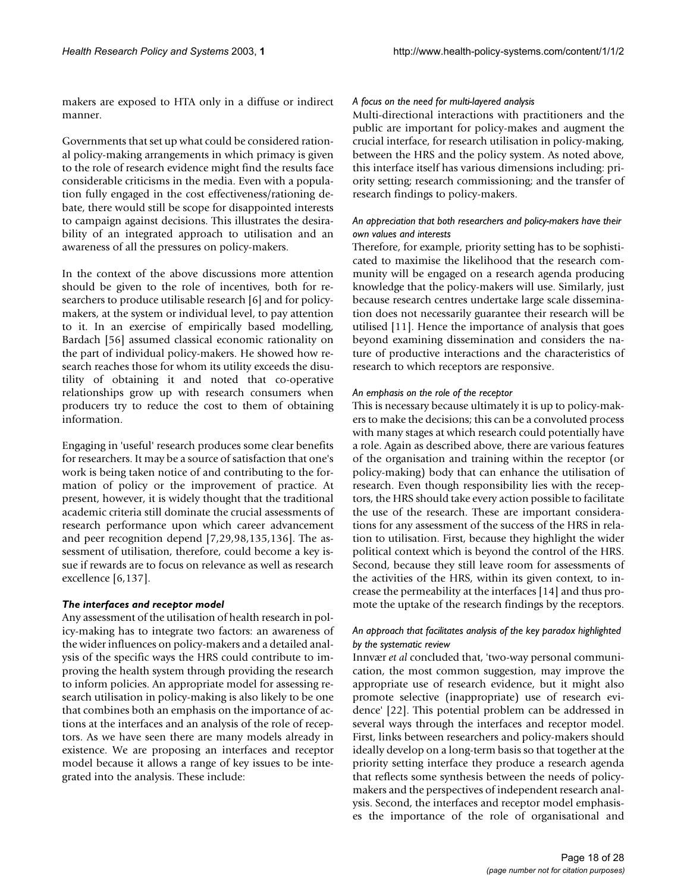makers are exposed to HTA only in a diffuse or indirect manner.

Governments that set up what could be considered rational policy-making arrangements in which primacy is given to the role of research evidence might find the results face considerable criticisms in the media. Even with a population fully engaged in the cost effectiveness/rationing debate, there would still be scope for disappointed interests to campaign against decisions. This illustrates the desirability of an integrated approach to utilisation and an awareness of all the pressures on policy-makers.

In the context of the above discussions more attention should be given to the role of incentives, both for researchers to produce utilisable research [6] and for policymakers, at the system or individual level, to pay attention to it. In an exercise of empirically based modelling, Bardach [56] assumed classical economic rationality on the part of individual policy-makers. He showed how research reaches those for whom its utility exceeds the disutility of obtaining it and noted that co-operative relationships grow up with research consumers when producers try to reduce the cost to them of obtaining information.

Engaging in 'useful' research produces some clear benefits for researchers. It may be a source of satisfaction that one's work is being taken notice of and contributing to the formation of policy or the improvement of practice. At present, however, it is widely thought that the traditional academic criteria still dominate the crucial assessments of research performance upon which career advancement and peer recognition depend [7,29,98,135,136]. The assessment of utilisation, therefore, could become a key issue if rewards are to focus on relevance as well as research excellence [6,137].

#### *The interfaces and receptor model*

Any assessment of the utilisation of health research in policy-making has to integrate two factors: an awareness of the wider influences on policy-makers and a detailed analysis of the specific ways the HRS could contribute to improving the health system through providing the research to inform policies. An appropriate model for assessing research utilisation in policy-making is also likely to be one that combines both an emphasis on the importance of actions at the interfaces and an analysis of the role of receptors. As we have seen there are many models already in existence. We are proposing an interfaces and receptor model because it allows a range of key issues to be integrated into the analysis. These include:

#### *A focus on the need for multi-layered analysis*

Multi-directional interactions with practitioners and the public are important for policy-makes and augment the crucial interface, for research utilisation in policy-making, between the HRS and the policy system. As noted above, this interface itself has various dimensions including: priority setting; research commissioning; and the transfer of research findings to policy-makers.

# *An appreciation that both researchers and policy-makers have their own values and interests*

Therefore, for example, priority setting has to be sophisticated to maximise the likelihood that the research community will be engaged on a research agenda producing knowledge that the policy-makers will use. Similarly, just because research centres undertake large scale dissemination does not necessarily guarantee their research will be utilised [11]. Hence the importance of analysis that goes beyond examining dissemination and considers the nature of productive interactions and the characteristics of research to which receptors are responsive.

#### *An emphasis on the role of the receptor*

This is necessary because ultimately it is up to policy-makers to make the decisions; this can be a convoluted process with many stages at which research could potentially have a role. Again as described above, there are various features of the organisation and training within the receptor (or policy-making) body that can enhance the utilisation of research. Even though responsibility lies with the receptors, the HRS should take every action possible to facilitate the use of the research. These are important considerations for any assessment of the success of the HRS in relation to utilisation. First, because they highlight the wider political context which is beyond the control of the HRS. Second, because they still leave room for assessments of the activities of the HRS, within its given context, to increase the permeability at the interfaces [14] and thus promote the uptake of the research findings by the receptors.

# *An approach that facilitates analysis of the key paradox highlighted by the systematic review*

Innvær *et al* concluded that, 'two-way personal communication, the most common suggestion, may improve the appropriate use of research evidence, but it might also promote selective (inappropriate) use of research evidence' [22]. This potential problem can be addressed in several ways through the interfaces and receptor model. First, links between researchers and policy-makers should ideally develop on a long-term basis so that together at the priority setting interface they produce a research agenda that reflects some synthesis between the needs of policymakers and the perspectives of independent research analysis. Second, the interfaces and receptor model emphasises the importance of the role of organisational and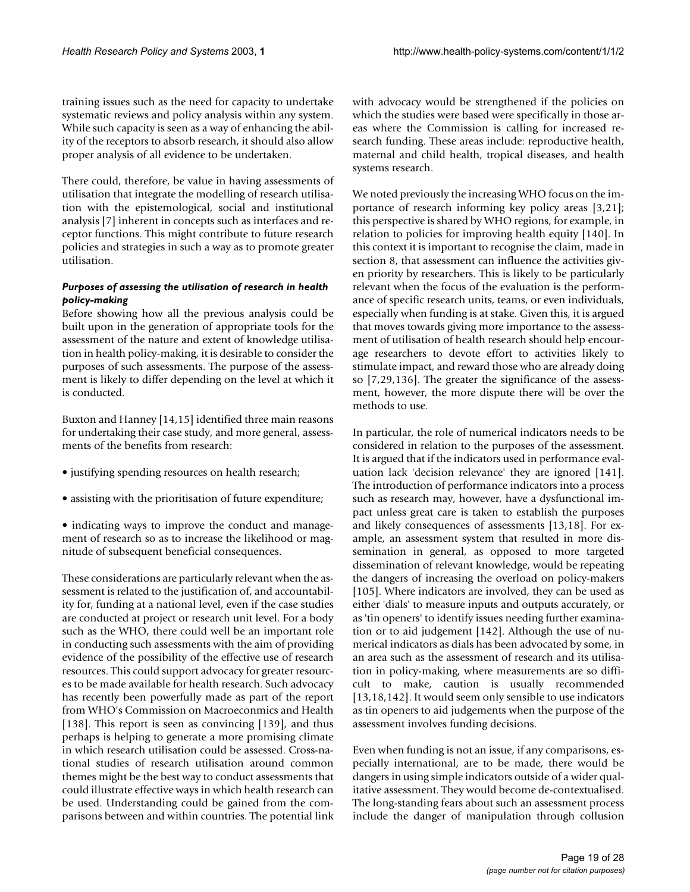training issues such as the need for capacity to undertake systematic reviews and policy analysis within any system. While such capacity is seen as a way of enhancing the ability of the receptors to absorb research, it should also allow proper analysis of all evidence to be undertaken.

There could, therefore, be value in having assessments of utilisation that integrate the modelling of research utilisation with the epistemological, social and institutional analysis [7] inherent in concepts such as interfaces and receptor functions. This might contribute to future research policies and strategies in such a way as to promote greater utilisation.

# *Purposes of assessing the utilisation of research in health policy-making*

Before showing how all the previous analysis could be built upon in the generation of appropriate tools for the assessment of the nature and extent of knowledge utilisation in health policy-making, it is desirable to consider the purposes of such assessments. The purpose of the assessment is likely to differ depending on the level at which it is conducted.

Buxton and Hanney [14,15] identified three main reasons for undertaking their case study, and more general, assessments of the benefits from research:

- justifying spending resources on health research;
- assisting with the prioritisation of future expenditure;
- indicating ways to improve the conduct and management of research so as to increase the likelihood or magnitude of subsequent beneficial consequences.

These considerations are particularly relevant when the assessment is related to the justification of, and accountability for, funding at a national level, even if the case studies are conducted at project or research unit level. For a body such as the WHO, there could well be an important role in conducting such assessments with the aim of providing evidence of the possibility of the effective use of research resources. This could support advocacy for greater resources to be made available for health research. Such advocacy has recently been powerfully made as part of the report from WHO's Commission on Macroeconmics and Health [138]. This report is seen as convincing [139], and thus perhaps is helping to generate a more promising climate in which research utilisation could be assessed. Cross-national studies of research utilisation around common themes might be the best way to conduct assessments that could illustrate effective ways in which health research can be used. Understanding could be gained from the comparisons between and within countries. The potential link with advocacy would be strengthened if the policies on which the studies were based were specifically in those areas where the Commission is calling for increased research funding. These areas include: reproductive health, maternal and child health, tropical diseases, and health systems research.

We noted previously the increasing WHO focus on the importance of research informing key policy areas [3,21]; this perspective is shared by WHO regions, for example, in relation to policies for improving health equity [140]. In this context it is important to recognise the claim, made in section 8, that assessment can influence the activities given priority by researchers. This is likely to be particularly relevant when the focus of the evaluation is the performance of specific research units, teams, or even individuals, especially when funding is at stake. Given this, it is argued that moves towards giving more importance to the assessment of utilisation of health research should help encourage researchers to devote effort to activities likely to stimulate impact, and reward those who are already doing so [7,29,136]. The greater the significance of the assessment, however, the more dispute there will be over the methods to use.

In particular, the role of numerical indicators needs to be considered in relation to the purposes of the assessment. It is argued that if the indicators used in performance evaluation lack 'decision relevance' they are ignored [141]. The introduction of performance indicators into a process such as research may, however, have a dysfunctional impact unless great care is taken to establish the purposes and likely consequences of assessments [13,18]. For example, an assessment system that resulted in more dissemination in general, as opposed to more targeted dissemination of relevant knowledge, would be repeating the dangers of increasing the overload on policy-makers [105]. Where indicators are involved, they can be used as either 'dials' to measure inputs and outputs accurately, or as 'tin openers' to identify issues needing further examination or to aid judgement [142]. Although the use of numerical indicators as dials has been advocated by some, in an area such as the assessment of research and its utilisation in policy-making, where measurements are so difficult to make, caution is usually recommended [13,18,142]. It would seem only sensible to use indicators as tin openers to aid judgements when the purpose of the assessment involves funding decisions.

Even when funding is not an issue, if any comparisons, especially international, are to be made, there would be dangers in using simple indicators outside of a wider qualitative assessment. They would become de-contextualised. The long-standing fears about such an assessment process include the danger of manipulation through collusion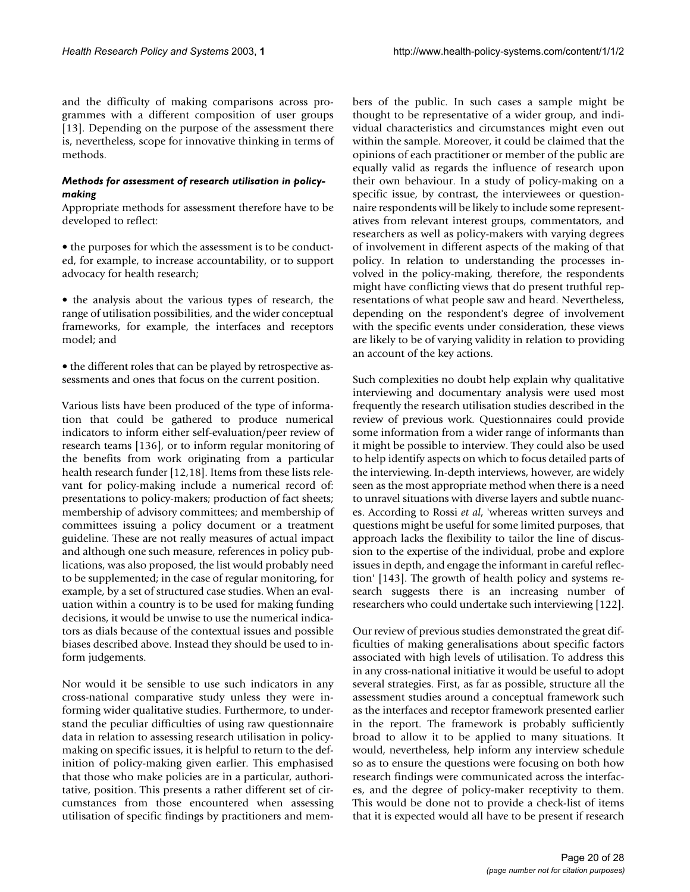and the difficulty of making comparisons across programmes with a different composition of user groups [13]. Depending on the purpose of the assessment there is, nevertheless, scope for innovative thinking in terms of methods.

#### *Methods for assessment of research utilisation in policymaking*

Appropriate methods for assessment therefore have to be developed to reflect:

- the purposes for which the assessment is to be conducted, for example, to increase accountability, or to support advocacy for health research;
- the analysis about the various types of research, the range of utilisation possibilities, and the wider conceptual frameworks, for example, the interfaces and receptors model; and
- the different roles that can be played by retrospective assessments and ones that focus on the current position.

Various lists have been produced of the type of information that could be gathered to produce numerical indicators to inform either self-evaluation/peer review of research teams [136], or to inform regular monitoring of the benefits from work originating from a particular health research funder [12,18]. Items from these lists relevant for policy-making include a numerical record of: presentations to policy-makers; production of fact sheets; membership of advisory committees; and membership of committees issuing a policy document or a treatment guideline. These are not really measures of actual impact and although one such measure, references in policy publications, was also proposed, the list would probably need to be supplemented; in the case of regular monitoring, for example, by a set of structured case studies. When an evaluation within a country is to be used for making funding decisions, it would be unwise to use the numerical indicators as dials because of the contextual issues and possible biases described above. Instead they should be used to inform judgements.

Nor would it be sensible to use such indicators in any cross-national comparative study unless they were informing wider qualitative studies. Furthermore, to understand the peculiar difficulties of using raw questionnaire data in relation to assessing research utilisation in policymaking on specific issues, it is helpful to return to the definition of policy-making given earlier. This emphasised that those who make policies are in a particular, authoritative, position. This presents a rather different set of circumstances from those encountered when assessing utilisation of specific findings by practitioners and members of the public. In such cases a sample might be thought to be representative of a wider group, and individual characteristics and circumstances might even out within the sample. Moreover, it could be claimed that the opinions of each practitioner or member of the public are equally valid as regards the influence of research upon their own behaviour. In a study of policy-making on a specific issue, by contrast, the interviewees or questionnaire respondents will be likely to include some representatives from relevant interest groups, commentators, and researchers as well as policy-makers with varying degrees of involvement in different aspects of the making of that policy. In relation to understanding the processes involved in the policy-making, therefore, the respondents might have conflicting views that do present truthful representations of what people saw and heard. Nevertheless, depending on the respondent's degree of involvement with the specific events under consideration, these views are likely to be of varying validity in relation to providing an account of the key actions.

Such complexities no doubt help explain why qualitative interviewing and documentary analysis were used most frequently the research utilisation studies described in the review of previous work. Questionnaires could provide some information from a wider range of informants than it might be possible to interview. They could also be used to help identify aspects on which to focus detailed parts of the interviewing. In-depth interviews, however, are widely seen as the most appropriate method when there is a need to unravel situations with diverse layers and subtle nuances. According to Rossi *et al*, 'whereas written surveys and questions might be useful for some limited purposes, that approach lacks the flexibility to tailor the line of discussion to the expertise of the individual, probe and explore issues in depth, and engage the informant in careful reflection' [143]. The growth of health policy and systems research suggests there is an increasing number of researchers who could undertake such interviewing [122].

Our review of previous studies demonstrated the great difficulties of making generalisations about specific factors associated with high levels of utilisation. To address this in any cross-national initiative it would be useful to adopt several strategies. First, as far as possible, structure all the assessment studies around a conceptual framework such as the interfaces and receptor framework presented earlier in the report. The framework is probably sufficiently broad to allow it to be applied to many situations. It would, nevertheless, help inform any interview schedule so as to ensure the questions were focusing on both how research findings were communicated across the interfaces, and the degree of policy-maker receptivity to them. This would be done not to provide a check-list of items that it is expected would all have to be present if research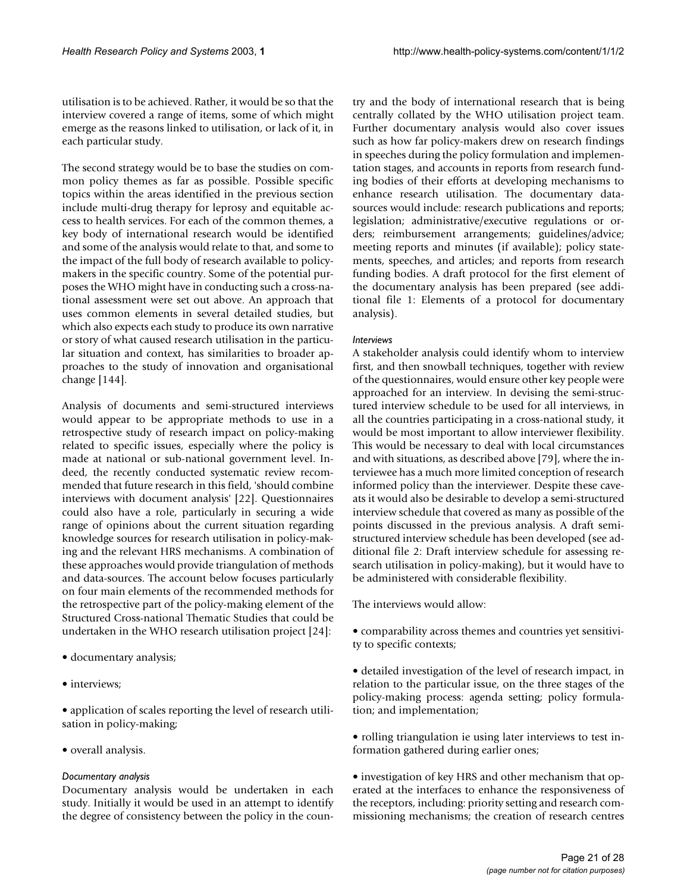utilisation is to be achieved. Rather, it would be so that the interview covered a range of items, some of which might emerge as the reasons linked to utilisation, or lack of it, in each particular study.

The second strategy would be to base the studies on common policy themes as far as possible. Possible specific topics within the areas identified in the previous section include multi-drug therapy for leprosy and equitable access to health services. For each of the common themes, a key body of international research would be identified and some of the analysis would relate to that, and some to the impact of the full body of research available to policymakers in the specific country. Some of the potential purposes the WHO might have in conducting such a cross-national assessment were set out above. An approach that uses common elements in several detailed studies, but which also expects each study to produce its own narrative or story of what caused research utilisation in the particular situation and context, has similarities to broader approaches to the study of innovation and organisational change [144].

Analysis of documents and semi-structured interviews would appear to be appropriate methods to use in a retrospective study of research impact on policy-making related to specific issues, especially where the policy is made at national or sub-national government level. Indeed, the recently conducted systematic review recommended that future research in this field, 'should combine interviews with document analysis' [22]. Questionnaires could also have a role, particularly in securing a wide range of opinions about the current situation regarding knowledge sources for research utilisation in policy-making and the relevant HRS mechanisms. A combination of these approaches would provide triangulation of methods and data-sources. The account below focuses particularly on four main elements of the recommended methods for the retrospective part of the policy-making element of the Structured Cross-national Thematic Studies that could be undertaken in the WHO research utilisation project [24]:

- documentary analysis;
- interviews:

• application of scales reporting the level of research utilisation in policy-making;

• overall analysis.

# *Documentary analysis*

Documentary analysis would be undertaken in each study. Initially it would be used in an attempt to identify the degree of consistency between the policy in the country and the body of international research that is being centrally collated by the WHO utilisation project team. Further documentary analysis would also cover issues such as how far policy-makers drew on research findings in speeches during the policy formulation and implementation stages, and accounts in reports from research funding bodies of their efforts at developing mechanisms to enhance research utilisation. The documentary datasources would include: research publications and reports; legislation; administrative/executive regulations or orders; reimbursement arrangements; guidelines/advice; meeting reports and minutes (if available); policy statements, speeches, and articles; and reports from research funding bodies. A draft protocol for the first element of the documentary analysis has been prepared (see additional file 1: Elements of a protocol for documentary analysis).

#### *Interviews*

A stakeholder analysis could identify whom to interview first, and then snowball techniques, together with review of the questionnaires, would ensure other key people were approached for an interview. In devising the semi-structured interview schedule to be used for all interviews, in all the countries participating in a cross-national study, it would be most important to allow interviewer flexibility. This would be necessary to deal with local circumstances and with situations, as described above [79], where the interviewee has a much more limited conception of research informed policy than the interviewer. Despite these caveats it would also be desirable to develop a semi-structured interview schedule that covered as many as possible of the points discussed in the previous analysis. A draft semistructured interview schedule has been developed (see additional file 2: Draft interview schedule for assessing research utilisation in policy-making), but it would have to be administered with considerable flexibility.

The interviews would allow:

- comparability across themes and countries yet sensitivity to specific contexts;
- detailed investigation of the level of research impact, in relation to the particular issue, on the three stages of the policy-making process: agenda setting; policy formulation; and implementation;
- rolling triangulation ie using later interviews to test information gathered during earlier ones;
- investigation of key HRS and other mechanism that operated at the interfaces to enhance the responsiveness of the receptors, including: priority setting and research commissioning mechanisms; the creation of research centres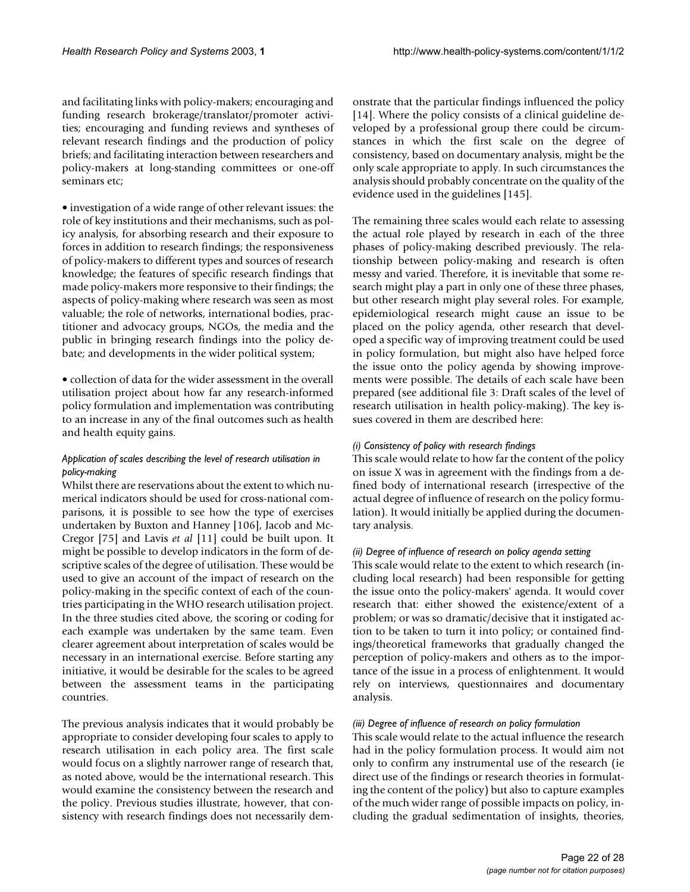and facilitating links with policy-makers; encouraging and funding research brokerage/translator/promoter activities; encouraging and funding reviews and syntheses of relevant research findings and the production of policy briefs; and facilitating interaction between researchers and policy-makers at long-standing committees or one-off seminars etc;

• investigation of a wide range of other relevant issues: the role of key institutions and their mechanisms, such as policy analysis, for absorbing research and their exposure to forces in addition to research findings; the responsiveness of policy-makers to different types and sources of research knowledge; the features of specific research findings that made policy-makers more responsive to their findings; the aspects of policy-making where research was seen as most valuable; the role of networks, international bodies, practitioner and advocacy groups, NGOs, the media and the public in bringing research findings into the policy debate; and developments in the wider political system;

• collection of data for the wider assessment in the overall utilisation project about how far any research-informed policy formulation and implementation was contributing to an increase in any of the final outcomes such as health and health equity gains.

# *Application of scales describing the level of research utilisation in policy-making*

Whilst there are reservations about the extent to which numerical indicators should be used for cross-national comparisons, it is possible to see how the type of exercises undertaken by Buxton and Hanney [106], Jacob and Mc-Cregor [75] and Lavis *et al* [11] could be built upon. It might be possible to develop indicators in the form of descriptive scales of the degree of utilisation. These would be used to give an account of the impact of research on the policy-making in the specific context of each of the countries participating in the WHO research utilisation project. In the three studies cited above, the scoring or coding for each example was undertaken by the same team. Even clearer agreement about interpretation of scales would be necessary in an international exercise. Before starting any initiative, it would be desirable for the scales to be agreed between the assessment teams in the participating countries.

The previous analysis indicates that it would probably be appropriate to consider developing four scales to apply to research utilisation in each policy area. The first scale would focus on a slightly narrower range of research that, as noted above, would be the international research. This would examine the consistency between the research and the policy. Previous studies illustrate, however, that consistency with research findings does not necessarily demonstrate that the particular findings influenced the policy [14]. Where the policy consists of a clinical guideline developed by a professional group there could be circumstances in which the first scale on the degree of consistency, based on documentary analysis, might be the only scale appropriate to apply. In such circumstances the analysis should probably concentrate on the quality of the evidence used in the guidelines [145].

The remaining three scales would each relate to assessing the actual role played by research in each of the three phases of policy-making described previously. The relationship between policy-making and research is often messy and varied. Therefore, it is inevitable that some research might play a part in only one of these three phases, but other research might play several roles. For example, epidemiological research might cause an issue to be placed on the policy agenda, other research that developed a specific way of improving treatment could be used in policy formulation, but might also have helped force the issue onto the policy agenda by showing improvements were possible. The details of each scale have been prepared (see additional file 3: Draft scales of the level of research utilisation in health policy-making). The key issues covered in them are described here:

# *(i) Consistency of policy with research findings*

This scale would relate to how far the content of the policy on issue X was in agreement with the findings from a defined body of international research (irrespective of the actual degree of influence of research on the policy formulation). It would initially be applied during the documentary analysis.

# *(ii) Degree of influence of research on policy agenda setting*

This scale would relate to the extent to which research (including local research) had been responsible for getting the issue onto the policy-makers' agenda. It would cover research that: either showed the existence/extent of a problem; or was so dramatic/decisive that it instigated action to be taken to turn it into policy; or contained findings/theoretical frameworks that gradually changed the perception of policy-makers and others as to the importance of the issue in a process of enlightenment. It would rely on interviews, questionnaires and documentary analysis.

# *(iii) Degree of influence of research on policy formulation*

This scale would relate to the actual influence the research had in the policy formulation process. It would aim not only to confirm any instrumental use of the research (ie direct use of the findings or research theories in formulating the content of the policy) but also to capture examples of the much wider range of possible impacts on policy, including the gradual sedimentation of insights, theories,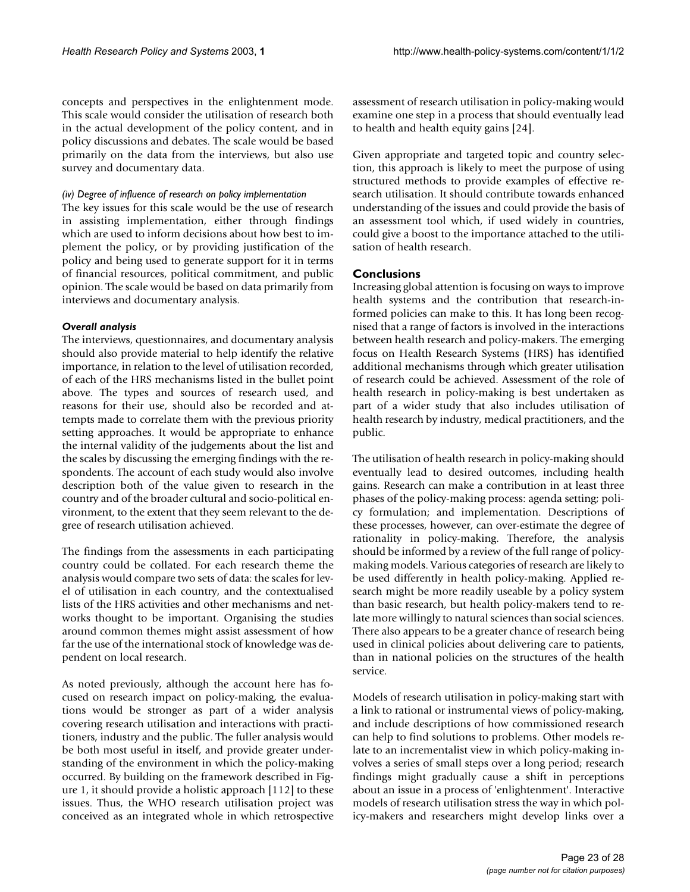concepts and perspectives in the enlightenment mode. This scale would consider the utilisation of research both in the actual development of the policy content, and in policy discussions and debates. The scale would be based primarily on the data from the interviews, but also use survey and documentary data.

#### *(iv) Degree of influence of research on policy implementation*

The key issues for this scale would be the use of research in assisting implementation, either through findings which are used to inform decisions about how best to implement the policy, or by providing justification of the policy and being used to generate support for it in terms of financial resources, political commitment, and public opinion. The scale would be based on data primarily from interviews and documentary analysis.

# *Overall analysis*

The interviews, questionnaires, and documentary analysis should also provide material to help identify the relative importance, in relation to the level of utilisation recorded, of each of the HRS mechanisms listed in the bullet point above. The types and sources of research used, and reasons for their use, should also be recorded and attempts made to correlate them with the previous priority setting approaches. It would be appropriate to enhance the internal validity of the judgements about the list and the scales by discussing the emerging findings with the respondents. The account of each study would also involve description both of the value given to research in the country and of the broader cultural and socio-political environment, to the extent that they seem relevant to the degree of research utilisation achieved.

The findings from the assessments in each participating country could be collated. For each research theme the analysis would compare two sets of data: the scales for level of utilisation in each country, and the contextualised lists of the HRS activities and other mechanisms and networks thought to be important. Organising the studies around common themes might assist assessment of how far the use of the international stock of knowledge was dependent on local research.

As noted previously, although the account here has focused on research impact on policy-making, the evaluations would be stronger as part of a wider analysis covering research utilisation and interactions with practitioners, industry and the public. The fuller analysis would be both most useful in itself, and provide greater understanding of the environment in which the policy-making occurred. By building on the framework described in Figure [1](#page-3-0), it should provide a holistic approach [112] to these issues. Thus, the WHO research utilisation project was conceived as an integrated whole in which retrospective assessment of research utilisation in policy-making would examine one step in a process that should eventually lead to health and health equity gains [24].

Given appropriate and targeted topic and country selection, this approach is likely to meet the purpose of using structured methods to provide examples of effective research utilisation. It should contribute towards enhanced understanding of the issues and could provide the basis of an assessment tool which, if used widely in countries, could give a boost to the importance attached to the utilisation of health research.

# **Conclusions**

Increasing global attention is focusing on ways to improve health systems and the contribution that research-informed policies can make to this. It has long been recognised that a range of factors is involved in the interactions between health research and policy-makers. The emerging focus on Health Research Systems (HRS) has identified additional mechanisms through which greater utilisation of research could be achieved. Assessment of the role of health research in policy-making is best undertaken as part of a wider study that also includes utilisation of health research by industry, medical practitioners, and the public.

The utilisation of health research in policy-making should eventually lead to desired outcomes, including health gains. Research can make a contribution in at least three phases of the policy-making process: agenda setting; policy formulation; and implementation. Descriptions of these processes, however, can over-estimate the degree of rationality in policy-making. Therefore, the analysis should be informed by a review of the full range of policymaking models. Various categories of research are likely to be used differently in health policy-making. Applied research might be more readily useable by a policy system than basic research, but health policy-makers tend to relate more willingly to natural sciences than social sciences. There also appears to be a greater chance of research being used in clinical policies about delivering care to patients, than in national policies on the structures of the health service.

Models of research utilisation in policy-making start with a link to rational or instrumental views of policy-making, and include descriptions of how commissioned research can help to find solutions to problems. Other models relate to an incrementalist view in which policy-making involves a series of small steps over a long period; research findings might gradually cause a shift in perceptions about an issue in a process of 'enlightenment'. Interactive models of research utilisation stress the way in which policy-makers and researchers might develop links over a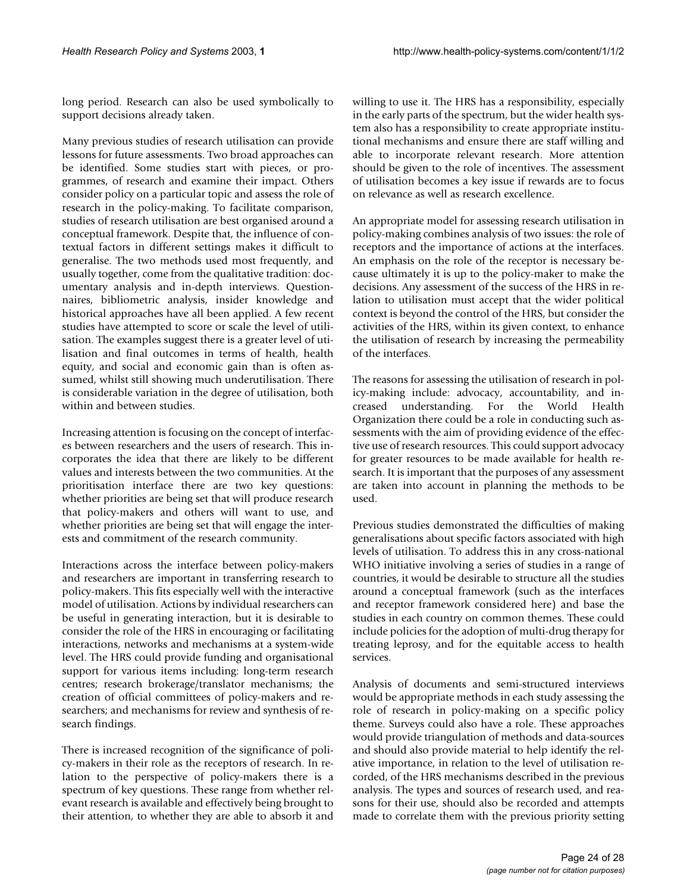long period. Research can also be used symbolically to support decisions already taken.

Many previous studies of research utilisation can provide lessons for future assessments. Two broad approaches can be identified. Some studies start with pieces, or programmes, of research and examine their impact. Others consider policy on a particular topic and assess the role of research in the policy-making. To facilitate comparison, studies of research utilisation are best organised around a conceptual framework. Despite that, the influence of contextual factors in different settings makes it difficult to generalise. The two methods used most frequently, and usually together, come from the qualitative tradition: documentary analysis and in-depth interviews. Questionnaires, bibliometric analysis, insider knowledge and historical approaches have all been applied. A few recent studies have attempted to score or scale the level of utilisation. The examples suggest there is a greater level of utilisation and final outcomes in terms of health, health equity, and social and economic gain than is often assumed, whilst still showing much underutilisation. There is considerable variation in the degree of utilisation, both within and between studies.

Increasing attention is focusing on the concept of interfaces between researchers and the users of research. This incorporates the idea that there are likely to be different values and interests between the two communities. At the prioritisation interface there are two key questions: whether priorities are being set that will produce research that policy-makers and others will want to use, and whether priorities are being set that will engage the interests and commitment of the research community.

Interactions across the interface between policy-makers and researchers are important in transferring research to policy-makers. This fits especially well with the interactive model of utilisation. Actions by individual researchers can be useful in generating interaction, but it is desirable to consider the role of the HRS in encouraging or facilitating interactions, networks and mechanisms at a system-wide level. The HRS could provide funding and organisational support for various items including: long-term research centres; research brokerage/translator mechanisms; the creation of official committees of policy-makers and researchers; and mechanisms for review and synthesis of research findings.

There is increased recognition of the significance of policy-makers in their role as the receptors of research. In relation to the perspective of policy-makers there is a spectrum of key questions. These range from whether relevant research is available and effectively being brought to their attention, to whether they are able to absorb it and willing to use it. The HRS has a responsibility, especially in the early parts of the spectrum, but the wider health system also has a responsibility to create appropriate institutional mechanisms and ensure there are staff willing and able to incorporate relevant research. More attention should be given to the role of incentives. The assessment of utilisation becomes a key issue if rewards are to focus on relevance as well as research excellence.

An appropriate model for assessing research utilisation in policy-making combines analysis of two issues: the role of receptors and the importance of actions at the interfaces. An emphasis on the role of the receptor is necessary because ultimately it is up to the policy-maker to make the decisions. Any assessment of the success of the HRS in relation to utilisation must accept that the wider political context is beyond the control of the HRS, but consider the activities of the HRS, within its given context, to enhance the utilisation of research by increasing the permeability of the interfaces.

The reasons for assessing the utilisation of research in policy-making include: advocacy, accountability, and increased understanding. For the World Health Organization there could be a role in conducting such assessments with the aim of providing evidence of the effective use of research resources. This could support advocacy for greater resources to be made available for health research. It is important that the purposes of any assessment are taken into account in planning the methods to be used.

Previous studies demonstrated the difficulties of making generalisations about specific factors associated with high levels of utilisation. To address this in any cross-national WHO initiative involving a series of studies in a range of countries, it would be desirable to structure all the studies around a conceptual framework (such as the interfaces and receptor framework considered here) and base the studies in each country on common themes. These could include policies for the adoption of multi-drug therapy for treating leprosy, and for the equitable access to health services.

Analysis of documents and semi-structured interviews would be appropriate methods in each study assessing the role of research in policy-making on a specific policy theme. Surveys could also have a role. These approaches would provide triangulation of methods and data-sources and should also provide material to help identify the relative importance, in relation to the level of utilisation recorded, of the HRS mechanisms described in the previous analysis. The types and sources of research used, and reasons for their use, should also be recorded and attempts made to correlate them with the previous priority setting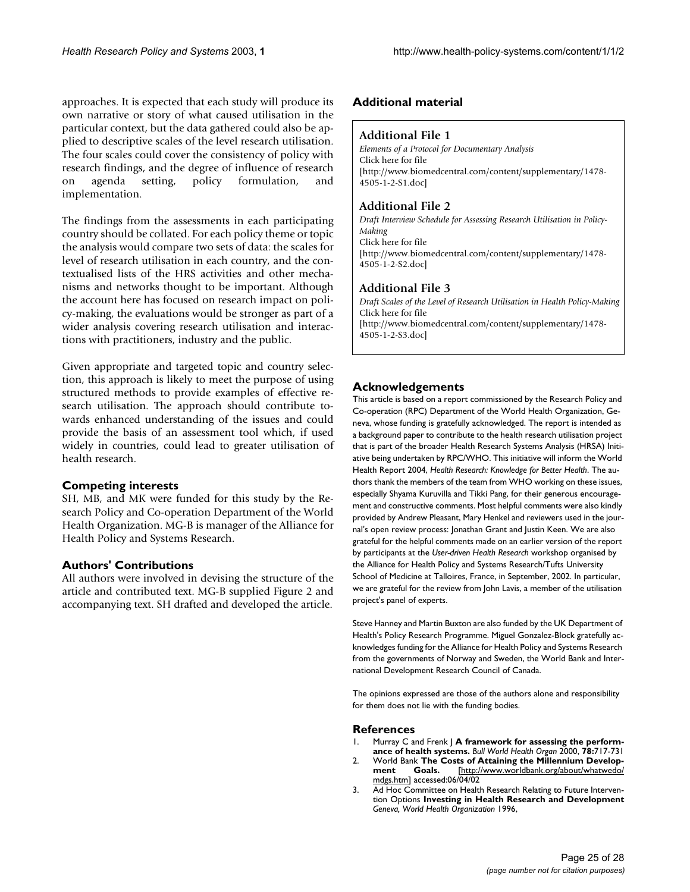approaches. It is expected that each study will produce its own narrative or story of what caused utilisation in the particular context, but the data gathered could also be applied to descriptive scales of the level research utilisation. The four scales could cover the consistency of policy with research findings, and the degree of influence of research on agenda setting, policy formulation, and implementation.

The findings from the assessments in each participating country should be collated. For each policy theme or topic the analysis would compare two sets of data: the scales for level of research utilisation in each country, and the contextualised lists of the HRS activities and other mechanisms and networks thought to be important. Although the account here has focused on research impact on policy-making, the evaluations would be stronger as part of a wider analysis covering research utilisation and interactions with practitioners, industry and the public.

Given appropriate and targeted topic and country selection, this approach is likely to meet the purpose of using structured methods to provide examples of effective research utilisation. The approach should contribute towards enhanced understanding of the issues and could provide the basis of an assessment tool which, if used widely in countries, could lead to greater utilisation of health research.

# **Competing interests**

SH, MB, and MK were funded for this study by the Research Policy and Co-operation Department of the World Health Organization. MG-B is manager of the Alliance for Health Policy and Systems Research.

# **Authors' Contributions**

All authors were involved in devising the structure of the article and contributed text. MG-B supplied Figure 2 and accompanying text. SH drafted and developed the article.

# **Additional material**

#### **Additional File 1**

*Elements of a Protocol for Documentary Analysis* Click here for file [\[http://www.biomedcentral.com/content/supplementary/1478-](http://www.biomedcentral.com/content/supplementary/1478-4505-1-2-S1.doc) 4505-1-2-S1.doc]

#### **Additional File 2**

*Draft Interview Schedule for Assessing Research Utilisation in Policy-Making* Click here for file [\[http://www.biomedcentral.com/content/supplementary/1478-](http://www.biomedcentral.com/content/supplementary/1478-4505-1-2-S2.doc) 4505-1-2-S2.doc]

# **Additional File 3**

*Draft Scales of the Level of Research Utilisation in Health Policy-Making* Click here for file [\[http://www.biomedcentral.com/content/supplementary/1478-](http://www.biomedcentral.com/content/supplementary/1478-4505-1-2-S3.doc) 4505-1-2-S3.doc]

# **Acknowledgements**

This article is based on a report commissioned by the Research Policy and Co-operation (RPC) Department of the World Health Organization, Geneva, whose funding is gratefully acknowledged. The report is intended as a background paper to contribute to the health research utilisation project that is part of the broader Health Research Systems Analysis (HRSA) Initiative being undertaken by RPC/WHO. This initiative will inform the World Health Report 2004, *Health Research: Knowledge for Better Health*. The authors thank the members of the team from WHO working on these issues, especially Shyama Kuruvilla and Tikki Pang, for their generous encouragement and constructive comments. Most helpful comments were also kindly provided by Andrew Pleasant, Mary Henkel and reviewers used in the journal's open review process: Jonathan Grant and Justin Keen. We are also grateful for the helpful comments made on an earlier version of the report by participants at the *User-driven Health Research* workshop organised by the Alliance for Health Policy and Systems Research/Tufts University School of Medicine at Talloires, France, in September, 2002. In particular, we are grateful for the review from John Lavis, a member of the utilisation project's panel of experts.

Steve Hanney and Martin Buxton are also funded by the UK Department of Health's Policy Research Programme. Miguel Gonzalez-Block gratefully acknowledges funding for the Alliance for Health Policy and Systems Research from the governments of Norway and Sweden, the World Bank and International Development Research Council of Canada.

The opinions expressed are those of the authors alone and responsibility for them does not lie with the funding bodies.

#### **References**

- Murray C and Frenk J [A framework for assessing the perform](http://www.ncbi.nlm.nih.gov/entrez/query.fcgi?cmd=Retrieve&db=PubMed&dopt=Abstract&list_uids=10916909)**[ance of health systems.](http://www.ncbi.nlm.nih.gov/entrez/query.fcgi?cmd=Retrieve&db=PubMed&dopt=Abstract&list_uids=10916909)** *Bull World Health Organ* 2000, **78:**717-731
- 2. World Bank **The Costs of Attaining the Millennium Development Goals.** [\[http://www.worldbank.org/about/whatwedo/](http://www.worldbank.org/about/whatwedo/mdgs.htm) [mdgs.htm](http://www.worldbank.org/about/whatwedo/mdgs.htm)] accessed:06/04/02
- 3. Ad Hoc Committee on Health Research Relating to Future Intervention Options **Investing in Health Research and Development** *Geneva, World Health Organization* 1996,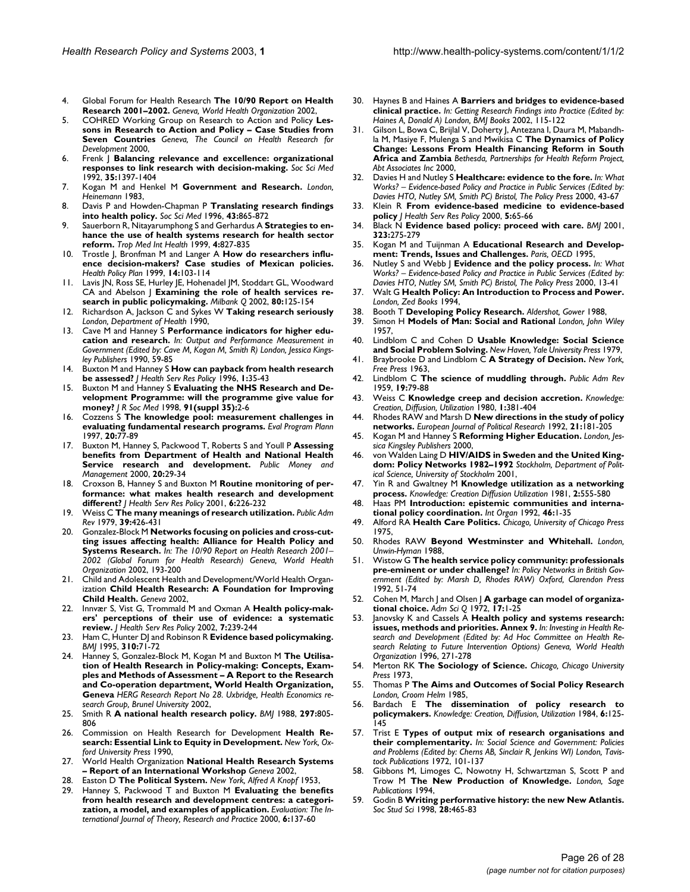- 4. Global Forum for Health Research **The 10/90 Report on Health Research 2001–2002.** *Geneva, World Health Organization* 2002,
- 5. COHRED Working Group on Research to Action and Policy **Lessons in Research to Action and Policy – Case Studies from Seven Countries** *Geneva, The Council on Health Research for Development* 2000,
- 6. Frenk J **[Balancing relevance and excellence: organizational](http://www.ncbi.nlm.nih.gov/entrez/query.fcgi?cmd=Retrieve&db=PubMed&dopt=Abstract&list_uids=1462179) [responses to link research with decision-making.](http://www.ncbi.nlm.nih.gov/entrez/query.fcgi?cmd=Retrieve&db=PubMed&dopt=Abstract&list_uids=1462179)** *Soc Sci Med* 1992, **35:**1397-1404
- 7. Kogan M and Henkel M **Government and Research.** *London, Heinemann* 1983,
- 8. Davis P and Howden-Chapman P **[Translating research findings](http://www.ncbi.nlm.nih.gov/entrez/query.fcgi?cmd=Retrieve&db=PubMed&dopt=Abstract&list_uids=8870150) [into health policy.](http://www.ncbi.nlm.nih.gov/entrez/query.fcgi?cmd=Retrieve&db=PubMed&dopt=Abstract&list_uids=8870150)** *Soc Sci Med* 1996, **43:**865-872
- 9. Sauerborn R, Nitayarumphong S and Gerhardus A **[Strategies to en](http://www.ncbi.nlm.nih.gov/entrez/query.fcgi?cmd=Retrieve&db=PubMed&dopt=Abstract&list_uids=10632991)[hance the use of health systems research for health sector](http://www.ncbi.nlm.nih.gov/entrez/query.fcgi?cmd=Retrieve&db=PubMed&dopt=Abstract&list_uids=10632991) [reform.](http://www.ncbi.nlm.nih.gov/entrez/query.fcgi?cmd=Retrieve&db=PubMed&dopt=Abstract&list_uids=10632991)** *Trop Med Int Health* 1999, **4:**827-835
- 10. Trostle J, Bronfman M and Langer A **[How do researchers influ](http://www.ncbi.nlm.nih.gov/entrez/query.fcgi?cmd=Retrieve&db=PubMed&dopt=Abstract&list_uids=10538714)[ence decision-makers? Case studies of Mexican policies.](http://www.ncbi.nlm.nih.gov/entrez/query.fcgi?cmd=Retrieve&db=PubMed&dopt=Abstract&list_uids=10538714)** *Health Policy Plan* 1999, **14:**103-114
- 11. Lavis JN, Ross SE, Hurley JE, Hohenadel JM, Stoddart GL, Woodward CA and Abelson J **[Examining the role of health services re](http://www.ncbi.nlm.nih.gov/entrez/query.fcgi?cmd=Retrieve&db=PubMed&dopt=Abstract&list_uids=11933791)[search in public policymaking.](http://www.ncbi.nlm.nih.gov/entrez/query.fcgi?cmd=Retrieve&db=PubMed&dopt=Abstract&list_uids=11933791)** *Milbank Q* 2002, **80:**125-154
- 12. Richardson A, Jackson C and Sykes W **Taking research seriously** *London, Department of Health* 1990,
- 13. Cave M and Hanney S **Performance indicators for higher education and research.** *In: Output and Performance Measurement in Government (Edited by: Cave M, Kogan M, Smith R) London, Jessica Kingsley Publishers* 1990, 59-85
- 14. Buxton M and Hanney S **[How can payback from health research](http://www.ncbi.nlm.nih.gov/entrez/query.fcgi?cmd=Retrieve&db=PubMed&dopt=Abstract&list_uids=10180843) [be assessed?](http://www.ncbi.nlm.nih.gov/entrez/query.fcgi?cmd=Retrieve&db=PubMed&dopt=Abstract&list_uids=10180843)** *J Health Serv Res Policy* 1996, **1:**35-43
- 15. Buxton M and Hanney S **[Evaluating the NHS Research and De](http://www.ncbi.nlm.nih.gov/entrez/query.fcgi?cmd=Retrieve&db=PubMed&dopt=Abstract&list_uids=9797742)[velopment Programme: will the programme give value for](http://www.ncbi.nlm.nih.gov/entrez/query.fcgi?cmd=Retrieve&db=PubMed&dopt=Abstract&list_uids=9797742) [money?](http://www.ncbi.nlm.nih.gov/entrez/query.fcgi?cmd=Retrieve&db=PubMed&dopt=Abstract&list_uids=9797742)** *J R Soc Med* 1998, **91(suppl 35):**2-6
- 16. Cozzens S **The knowledge pool: measurement challenges in evaluating fundamental research programs.** *Eval Program Plann* 1997, **20:**77-89
- 17. Buxton M, Hanney S, Packwood T, Roberts S and Youll P **Assessing benefits from Department of Health and National Health Service research and development.** *Public Money and Management* 2000, **20:**29-34
- 18. Croxson B, Hanney S and Buxton M **[Routine monitoring of per](http://www.ncbi.nlm.nih.gov/entrez/query.fcgi?cmd=Retrieve&db=PubMed&dopt=Abstract&list_uids=11685787)[formance: what makes health research and development](http://www.ncbi.nlm.nih.gov/entrez/query.fcgi?cmd=Retrieve&db=PubMed&dopt=Abstract&list_uids=11685787) [different?](http://www.ncbi.nlm.nih.gov/entrez/query.fcgi?cmd=Retrieve&db=PubMed&dopt=Abstract&list_uids=11685787)** *J Health Serv Res Policy* 2001, **6:**226-232
- 19. Weiss C **The many meanings of research utilization.** *Public Adm Rev* 1979, **39:**426-431
- 20. Gonzalez-Block M **Networks focusing on policies and cross-cutting issues affecting health: Alliance for Health Policy and Systems Research.** *In: The 10/90 Report on Health Research 2001– 2002 (Global Forum for Health Research) Geneva, World Health Organization* 2002, 193-200
- 21. Child and Adolescent Health and Development/World Health Organization **Child Health Research: A Foundation for Improving Child Health.** *Geneva* 2002,
- 22. Innvær S, Vist G, Trommald M and Oxman A **[Health policy-mak](http://www.ncbi.nlm.nih.gov/entrez/query.fcgi?cmd=Retrieve&db=PubMed&dopt=Abstract&list_uids=12425783)[ers' perceptions of their use of evidence: a systematic](http://www.ncbi.nlm.nih.gov/entrez/query.fcgi?cmd=Retrieve&db=PubMed&dopt=Abstract&list_uids=12425783) [review.](http://www.ncbi.nlm.nih.gov/entrez/query.fcgi?cmd=Retrieve&db=PubMed&dopt=Abstract&list_uids=12425783)** *J Health Serv Res Policy* 2002, **7:**239-244
- 23. Ham C, Hunter DJ and Robinson R **[Evidence based policymaking.](http://www.ncbi.nlm.nih.gov/entrez/query.fcgi?cmd=Retrieve&db=PubMed&dopt=Abstract&list_uids=7833721)** *BMJ* 1995, **310:**71-72
- 24. Hanney S, Gonzalez-Block M, Kogan M and Buxton M **The Utilisation of Health Research in Policy-making: Concepts, Examples and Methods of Assessment – A Report to the Research and Co-operation department, World Health Organization, Geneva** *HERG Research Report No 28. Uxbridge, Health Economics research Group, Brunel University* 2002,
- 25. Smith R **[A national health research policy.](http://www.ncbi.nlm.nih.gov/entrez/query.fcgi?cmd=Retrieve&db=PubMed&dopt=Abstract&list_uids=3140931)** *BMJ* 1988, **297:**805- 806
- 26. Commission on Health Research for Development **Health Research: Essential Link to Equity in Development.** *New York, Oxford University Press* 1990,
- 27. World Health Organization **National Health Research Systems – Report of an International Workshop** *Geneva* 2002,
- 28. Easton D **The Political System.** *New York, Alfred A Knopf* 1953,
- Hanney S, Packwood T and Buxton M Evaluating the benefits **from health research and development centres: a categorization, a model, and examples of application.** *Evaluation: The International Journal of Theory, Research and Practice* 2000, **6:**137-60
- 30. Haynes B and Haines A **Barriers and bridges to evidence-based clinical practice.** *In: Getting Research Findings into Practice (Edited by: Haines A, Donald A) London, BMJ Books* 2002, 115-122
- 31. Gilson L, Bowa C, Brijlal V, Doherty J, Antezana I, Daura M, Mabandhla M, Masiye F, Mulenga S and Mwikisa C **The Dynamics of Policy Change: Lessons From Health Financing Reform in South Africa and Zambia** *Bethesda, Partnerships for Health Reform Project, Abt Associates Inc* 2000,
- 32. Davies H and Nutley S **Healthcare: evidence to the fore.** *In: What Works? – Evidence-based Policy and Practice in Public Services (Edited by: Davies HTO, Nutley SM, Smith PC) Bristol, The Policy Press* 2000, 43-67
- 33. Klein R **[From evidence-based medicine to evidence-based](http://www.ncbi.nlm.nih.gov/entrez/query.fcgi?cmd=Retrieve&db=PubMed&dopt=Abstract&list_uids=10947548) [policy](http://www.ncbi.nlm.nih.gov/entrez/query.fcgi?cmd=Retrieve&db=PubMed&dopt=Abstract&list_uids=10947548)** *J Health Serv Res Policy* 2000, **5:**65-66
- 34. Black N **[Evidence based policy: proceed with care.](http://www.ncbi.nlm.nih.gov/entrez/query.fcgi?cmd=Retrieve&db=PubMed&dopt=Abstract&list_uids=11485961)** *BMJ* 2001, **323:**275-279
- 35. Kogan M and Tuijnman A **Educational Research and Development: Trends, Issues and Challenges.** *Paris, OECD* 1995,
- 36. Nutley S and Webb J **Evidence and the policy process.** *In: What Works? – Evidence-based Policy and Practice in Public Services (Edited by: Davies HTO, Nutley SM, Smith PC) Bristol, The Policy Press* 2000, 13-41
- 37. Walt G **Health Policy: An Introduction to Process and Power.** *London, Zed Books* 1994,
- 38. Booth T **Developing Policy Research.** *Aldershot, Gower* 1988,
- 39. Simon H **Models of Man: Social and Rational** *London, John Wiley* 1957,
- 40. Lindblom C and Cohen D **Usable Knowledge: Social Science and Social Problem Solving.** *New Haven, Yale University Press* 1979,
- 41. Braybrooke D and Lindblom C **A Strategy of Decision.** *New York, Free Press* 1963,
- 42. Lindblom C **The science of muddling through.** *Public Adm Rev* 1959, **19:**79-88
- 43. Weiss C **Knowledge creep and decision accretion.** *Knowledge: Creation, Diffusion, Utilization* 1980, **1:**381-404
- 44. Rhodes RAW and Marsh D **New directions in the study of policy networks.** *European Journal of Political Research* 1992, **21:**181-205
- 45. Kogan M and Hanney S **Reforming Higher Education.** *London, Jessica Kingsley Publishers* 2000,
- 46. von Walden Laing D **HIV/AIDS in Sweden and the United Kingdom: Policy Networks 1982–1992** *Stockholm, Department of Political Science, University of Stockholm* 2001,
- 47. Yin R and Gwaltney M **Knowledge utilization as a networking process.** *Knowledge: Creation Diffusion Utilization* 1981, **2:**555-580
- 48. Haas PM **Introduction: epistemic communities and international policy coordination.** *Int Organ* 1992, **46:**1-35
- 49. Alford RA **Health Care Politics.** *Chicago, University of Chicago Press* 1975,
- 50. Rhodes RAW **Beyond Westminster and Whitehall.** *London, Unwin-Hyman* 1988,
- 51. Wistow G **The health service policy community: professionals pre-eminent or under challenge?** *In: Policy Networks in British Government (Edited by: Marsh D, Rhodes RAW) Oxford, Clarendon Press* 1992, 51-74
- 52. Cohen M, March J and Olsen J **A garbage can model of organizational choice.** *Adm Sci Q* 1972, **17:**1-25
- 53. Janovsky K and Cassels A **Health policy and systems research: issues, methods and priorities. Annex 9.** *In: Investing in Health Research and Development (Edited by: Ad Hoc Committee on Health Research Relating to Future Intervention Options) Geneva, World Health Organization* 1996, 271-278
- 54. Merton RK **The Sociology of Science.** *Chicago, Chicago University Press* 1973,
- 55. Thomas P **The Aims and Outcomes of Social Policy Research** *London, Croom Helm* 1985,
- 56. Bardach E **The dissemination of policy research to policymakers.** *Knowledge: Creation, Diffusion, Utilization* 1984, **6:**125- 145
- 57. Trist E **Types of output mix of research organisations and their complementarity.** *In: Social Science and Government: Policies and Problems (Edited by: Cherns AB, Sinclair R, Jenkins WI) London, Tavistock Publications* 1972, 101-137
- 58. Gibbons M, Limoges C, Nowotny H, Schwartzman S, Scott P and Trow M **The New Production of Knowledge.** *London, Sage Publications* 1994,
- 59. Godin B **Writing performative history: the new New Atlantis.** *Soc Stud Sci* 1998, **28:**465-83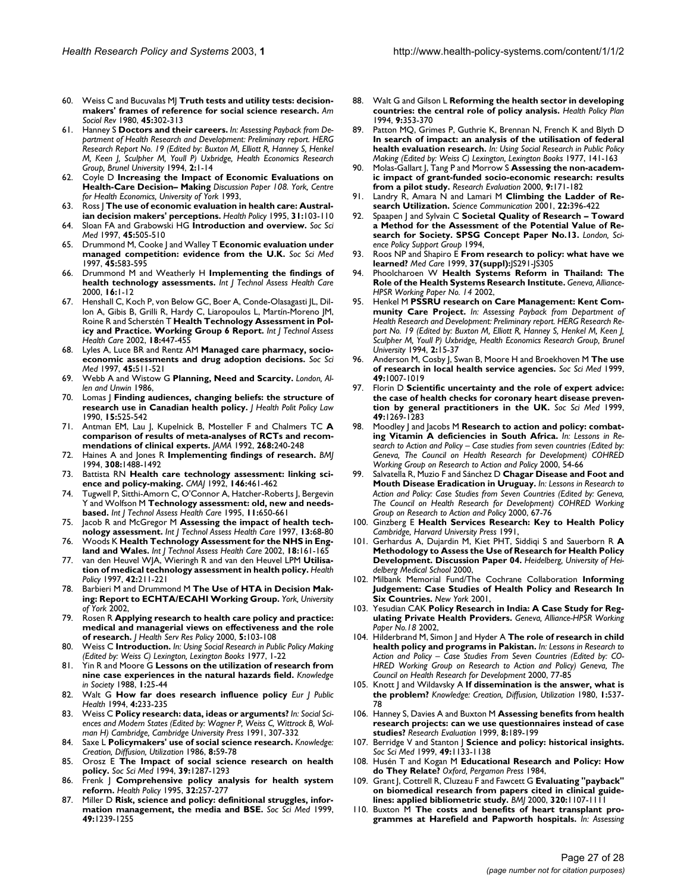- 60. Weiss C and Bucuvalas MJ **Truth tests and utility tests: decisionmakers' frames of reference for social science research.** *Am Sociol Rev* 1980, **45:**302-313
- 61. Hanney S **Doctors and their careers.** *In: Assessing Payback from Department of Health Research and Development: Preliminary report. HERG Research Report No. 19 (Edited by: Buxton M, Elliott R, Hanney S, Henkel M, Keen J, Sculpher M, Youll P) Uxbridge, Health Economics Research Group, Brunel University* 1994, **2:**1-14
- 62. Coyle D **Increasing the Impact of Economic Evaluations on Health-Care Decision– Making** *Discussion Paper 108. York, Centre for Health Economics, University of York* 1993,
- 63. Ross J **[The use of economic evaluation in health care: Austral](http://www.ncbi.nlm.nih.gov/entrez/query.fcgi?cmd=Retrieve&db=PubMed&dopt=Abstract&list_uids=10141251)[ian decision makers' perceptions.](http://www.ncbi.nlm.nih.gov/entrez/query.fcgi?cmd=Retrieve&db=PubMed&dopt=Abstract&list_uids=10141251)** *Health Policy* 1995, **31:**103-110
- 64. Sloan FA and Grabowski HG **[Introduction and overview.](http://www.ncbi.nlm.nih.gov/entrez/query.fcgi?cmd=Retrieve&db=PubMed&dopt=Abstract&list_uids=9226776)** *Soc Sci Med* 1997, **45:**505-510
- 65. Drummond M, Cooke J and Walley T **[Economic evaluation under](http://www.ncbi.nlm.nih.gov/entrez/query.fcgi?cmd=Retrieve&db=PubMed&dopt=Abstract&list_uids=9226783) [managed competition: evidence from the U.K.](http://www.ncbi.nlm.nih.gov/entrez/query.fcgi?cmd=Retrieve&db=PubMed&dopt=Abstract&list_uids=9226783)** *Soc Sci Med* 1997, **45:**583-595
- 66. Drummond M and Weatherly H **[Implementing the findings of](http://www.ncbi.nlm.nih.gov/entrez/query.fcgi?cmd=Retrieve&db=PubMed&dopt=Abstract&list_uids=10815349) [health technology assessments.](http://www.ncbi.nlm.nih.gov/entrez/query.fcgi?cmd=Retrieve&db=PubMed&dopt=Abstract&list_uids=10815349)** *Int J Technol Assess Health Care* 2000, **16:**1-12
- 67. Henshall C, Koch P, von Below GC, Boer A, Conde-Olasagasti JL, Dillon A, Gibis B, Grilli R, Hardy C, Liaropoulos L, Martín-Moreno JM, Roine R and Scherstén T **[Health Technology Assessment in Pol](http://www.ncbi.nlm.nih.gov/entrez/query.fcgi?cmd=Retrieve&db=PubMed&dopt=Abstract&list_uids=12053429)[icy and Practice. Working Group 6 Report.](http://www.ncbi.nlm.nih.gov/entrez/query.fcgi?cmd=Retrieve&db=PubMed&dopt=Abstract&list_uids=12053429)** *Int J Technol Assess Health Care* 2002, **18:**447-455
- 68. Lyles A, Luce BR and Rentz AM **[Managed care pharmacy, socio](http://www.ncbi.nlm.nih.gov/entrez/query.fcgi?cmd=Retrieve&db=PubMed&dopt=Abstract&list_uids=9226777)[economic assessments and drug adoption decisions.](http://www.ncbi.nlm.nih.gov/entrez/query.fcgi?cmd=Retrieve&db=PubMed&dopt=Abstract&list_uids=9226777)** *Soc Sci Med* 1997, **45:**511-521
- 69. Webb A and Wistow G **Planning, Need and Scarcity.** *London, Allen and Unwin* 1986,
- 70. Lomas J **[Finding audiences, changing beliefs: the structure of](http://www.ncbi.nlm.nih.gov/entrez/query.fcgi?cmd=Retrieve&db=PubMed&dopt=Abstract&list_uids=2273216) [research use in Canadian health policy.](http://www.ncbi.nlm.nih.gov/entrez/query.fcgi?cmd=Retrieve&db=PubMed&dopt=Abstract&list_uids=2273216)** *J Health Polit Policy Law* 1990, **15:**525-542
- 71. Antman EM, Lau J, Kupelnick B, Mosteller F and Chalmers TC **[A](http://www.ncbi.nlm.nih.gov/entrez/query.fcgi?cmd=Retrieve&db=PubMed&dopt=Abstract&list_uids=1535110) [comparison of results of meta-analyses of RCTs and recom](http://www.ncbi.nlm.nih.gov/entrez/query.fcgi?cmd=Retrieve&db=PubMed&dopt=Abstract&list_uids=1535110)[mendations of clinical experts.](http://www.ncbi.nlm.nih.gov/entrez/query.fcgi?cmd=Retrieve&db=PubMed&dopt=Abstract&list_uids=1535110)** *JAMA* 1992, **268:**240-248
- 72. Haines A and Jones R **[Implementing findings of research.](http://www.ncbi.nlm.nih.gov/entrez/query.fcgi?cmd=Retrieve&db=PubMed&dopt=Abstract&list_uids=8019284)** *BMJ* 1994, **308:**1488-1492
- 73. Battista RN **[Health care technology assessment: linking sci](http://www.ncbi.nlm.nih.gov/entrez/query.fcgi?cmd=Retrieve&db=PubMed&dopt=Abstract&list_uids=1737310)[ence and policy-making.](http://www.ncbi.nlm.nih.gov/entrez/query.fcgi?cmd=Retrieve&db=PubMed&dopt=Abstract&list_uids=1737310)** *CMAJ* 1992, **146:**461-462
- 74. Tugwell P, Sitthi-Amorn C, O'Connor A, Hatcher-Roberts J, Bergevin Y and Wolfson M **[Technology assessment: old, new and needs](http://www.ncbi.nlm.nih.gov/entrez/query.fcgi?cmd=Retrieve&db=PubMed&dopt=Abstract&list_uids=8567197)[based.](http://www.ncbi.nlm.nih.gov/entrez/query.fcgi?cmd=Retrieve&db=PubMed&dopt=Abstract&list_uids=8567197)** *Int J Technol Assess Health Care* 1995, **11:**650-661
- 75. Jacob R and McGregor M **[Assessing the impact of health tech](http://www.ncbi.nlm.nih.gov/entrez/query.fcgi?cmd=Retrieve&db=PubMed&dopt=Abstract&list_uids=9119625)[nology assessment.](http://www.ncbi.nlm.nih.gov/entrez/query.fcgi?cmd=Retrieve&db=PubMed&dopt=Abstract&list_uids=9119625)** *Int J Technol Assess Health Care* 1997, **13:**68-80
- 76. Woods K **[Health Technology Assessment for the NHS in Eng](http://www.ncbi.nlm.nih.gov/entrez/query.fcgi?cmd=Retrieve&db=PubMed&dopt=Abstract&list_uids=12053415)[land and Wales.](http://www.ncbi.nlm.nih.gov/entrez/query.fcgi?cmd=Retrieve&db=PubMed&dopt=Abstract&list_uids=12053415)** *Int J Technol Assess Health Care* 2002, **18:**161-165
- 77. van den Heuvel WJA, Wieringh R and van den Heuvel LPM **[Utilisa](http://www.ncbi.nlm.nih.gov/entrez/query.fcgi?cmd=Retrieve&db=PubMed&dopt=Abstract&list_uids=10176301)[tion of medical technology assessment in health policy.](http://www.ncbi.nlm.nih.gov/entrez/query.fcgi?cmd=Retrieve&db=PubMed&dopt=Abstract&list_uids=10176301)** *Health Policy* 1997, **42:**211-221
- 78. Barbieri M and Drummond M **The Use of HTA in Decision Making: Report to ECHTA/ECAHI Working Group.** *York, University of York* 2002,
- 79. Rosen R **[Applying research to health care policy and practice:](http://www.ncbi.nlm.nih.gov/entrez/query.fcgi?cmd=Retrieve&db=PubMed&dopt=Abstract&list_uids=10947544) [medical and managerial views on effectiveness and the role](http://www.ncbi.nlm.nih.gov/entrez/query.fcgi?cmd=Retrieve&db=PubMed&dopt=Abstract&list_uids=10947544) [of research.](http://www.ncbi.nlm.nih.gov/entrez/query.fcgi?cmd=Retrieve&db=PubMed&dopt=Abstract&list_uids=10947544)** *J Health Serv Res Policy* 2000, **5:**103-108
- 80. Weiss C **Introduction.** *In: Using Social Research in Public Policy Making (Edited by: Weiss C) Lexington, Lexington Books* 1977, 1-22
- 81. Yin R and Moore G **Lessons on the utilization of research from nine case experiences in the natural hazards field.** *Knowledge in Society* 1988, **1:**25-44
- 82. Walt G **How far does research influence policy** *Eur J Public Health* 1994, **4:**233-235
- 83. Weiss C **Policy research: data, ideas or arguments?** *In: Social Sciences and Modern States (Edited by: Wagner P, Weiss C, Wittrock B, Wolman H) Cambridge, Cambridge University Press* 1991, 307-332
- 84. Saxe L **Policymakers' use of social science research.** *Knowledge: Creation, Diffusion, Utilization* 1986, **8:**59-78
- 85. Orosz E **[The Impact of social science research on health](http://www.ncbi.nlm.nih.gov/entrez/query.fcgi?cmd=Retrieve&db=PubMed&dopt=Abstract&list_uids=7801165) [policy.](http://www.ncbi.nlm.nih.gov/entrez/query.fcgi?cmd=Retrieve&db=PubMed&dopt=Abstract&list_uids=7801165)** *Soc Sci Med* 1994, **39:**1287-1293
- 86. Frenk J **[Comprehensive policy analysis for health system](http://www.ncbi.nlm.nih.gov/entrez/query.fcgi?cmd=Retrieve&db=PubMed&dopt=Abstract&list_uids=10156642) [reform.](http://www.ncbi.nlm.nih.gov/entrez/query.fcgi?cmd=Retrieve&db=PubMed&dopt=Abstract&list_uids=10156642)** *Health Policy* 1995, **32:**257-277
- 87. Miller D **[Risk, science and policy: definitional struggles, infor](http://www.ncbi.nlm.nih.gov/entrez/query.fcgi?cmd=Retrieve&db=PubMed&dopt=Abstract&list_uids=10501644)[mation management, the media and BSE.](http://www.ncbi.nlm.nih.gov/entrez/query.fcgi?cmd=Retrieve&db=PubMed&dopt=Abstract&list_uids=10501644)** *Soc Sci Med* 1999, **49:**1239-1255
- 88. Walt G and Gilson L **[Reforming the health sector in developing](http://www.ncbi.nlm.nih.gov/entrez/query.fcgi?cmd=Retrieve&db=PubMed&dopt=Abstract&list_uids=10139469) [countries: the central role of policy analysis.](http://www.ncbi.nlm.nih.gov/entrez/query.fcgi?cmd=Retrieve&db=PubMed&dopt=Abstract&list_uids=10139469)** *Health Policy Plan* 1994, **9:**353-370
- 89. Patton MQ, Grimes P, Guthrie K, Brennan N, French K and Blyth D **In search of impact: an analysis of the utilisation of federal health evaluation research.** *In: Using Social Research in Public Policy Making (Edited by: Weiss C) Lexington, Lexington Books* 1977, 141-163
- 90. Molas-Gallart J, Tang P and Morrow S **Assessing the non-academic impact of grant-funded socio-economic research: results from a pilot study.** *Research Evaluation* 2000, **9:**171-182
- 91. Landry R, Amara N and Lamari M **Climbing the Ladder of Research Utilization.** *Science Communication* 2001, **22:**396-422
- 92. Spaapen J and Sylvain C **Societal Quality of Research Toward a Method for the Assessment of the Potential Value of Research for Society. SPSG Concept Paper No.13.** *London, Science Policy Support Group* 1994,
- 93. Roos NP and Shapiro E **[From research to policy: what have we](http://www.ncbi.nlm.nih.gov/entrez/query.fcgi?cmd=Retrieve&db=PubMed&dopt=Abstract&list_uids=10409016) [learned?](http://www.ncbi.nlm.nih.gov/entrez/query.fcgi?cmd=Retrieve&db=PubMed&dopt=Abstract&list_uids=10409016)** *Med Care* 1999, **37(suppl):**JS291-JS305
- 94. Phoolcharoen W **Health Systems Reform in Thailand: The Role of the Health Systems Research Institute.** *Geneva, Alliance-HPSR Working Paper No. 14* 2002,
- 95. Henkel M **PSSRU research on Care Management: Kent Community Care Project.** *In: Assessing Payback from Department of Health Research and Development: Preliminary report. HERG Research Report No. 19 (Edited by: Buxton M, Elliott R, Hanney S, Henkel M, Keen J, Sculpher M, Youll P) Uxbridge, Health Economics Research Group, Brunel University* 1994, **2:**15-37
- 96. Anderson M, Cosby J, Swan B, Moore H and Broekhoven M [The use](http://www.ncbi.nlm.nih.gov/entrez/query.fcgi?cmd=Retrieve&db=PubMed&dopt=Abstract&list_uids=10475666) **[of research in local health service agencies.](http://www.ncbi.nlm.nih.gov/entrez/query.fcgi?cmd=Retrieve&db=PubMed&dopt=Abstract&list_uids=10475666)** *Soc Sci Med* 1999, **49:**1007-1019
- 97. Florin D **[Scientific uncertainty and the role of expert advice:](http://www.ncbi.nlm.nih.gov/entrez/query.fcgi?cmd=Retrieve&db=PubMed&dopt=Abstract&list_uids=10501646) [the case of health checks for coronary heart disease preven](http://www.ncbi.nlm.nih.gov/entrez/query.fcgi?cmd=Retrieve&db=PubMed&dopt=Abstract&list_uids=10501646)[tion by general practitioners in the UK.](http://www.ncbi.nlm.nih.gov/entrez/query.fcgi?cmd=Retrieve&db=PubMed&dopt=Abstract&list_uids=10501646)** *Soc Sci Med* 1999, **49:**1269-1283
- 98. Moodley J and Jacobs M **Research to action and policy: combating Vitamin A deficiencies in South Africa.** *In: Lessons in Research to Action and Policy – Case studies from seven countries (Edited by: Geneva, The Council on Health Research for Development) COHRED Working Group on Research to Action and Policy* 2000, 54-66
- 99. Salvatella R, Muzio F and Sánchez D **Chagar Disease and Foot and Mouth Disease Eradication in Uruguay.** *In: Lessons in Research to Action and Policy: Case Studies from Seven Countries (Edited by: Geneva, The Council on Health Research for Development) COHRED Working Group on Research to Action and Policy* 2000, 67-76
- 100. Ginzberg E **Health Services Research: Key to Health Policy** *Cambridge, Harvard University Press* 1991,
- 101. Gerhardus A, Dujardin M, Kiet PHT, Siddiqi S and Sauerborn R **A Methodology to Assess the Use of Research for Health Policy Development. Discussion Paper 04.** *Heidelberg, University of Heidelberg Medical School* 2000,
- 102. Milbank Memorial Fund/The Cochrane Collaboration **Informing Judgement: Case Studies of Health Policy and Research In Six Countries.** *New York* 2001,
- 103. Yesudian CAK **Policy Research in India: A Case Study for Regulating Private Health Providers.** *Geneva, Alliance-HPSR Working Paper No.18* 2002,
- 104. Hilderbrand M, Simon J and Hyder A **The role of research in child health policy and programs in Pakistan.** *In: Lessons in Research to Action and Policy – Case Studies From Seven Countries (Edited by: CO-HRED Working Group on Research to Action and Policy) Geneva, The Council on Health Research for Development* 2000, 77-85
- 105. Knott J and Wildavsky A **If dissemination is the answer, what is the problem?** *Knowledge: Creation, Diffusion, Utilization* 1980, **1:**537- 78
- 106. Hanney S, Davies A and Buxton M **Assessing benefits from health research projects: can we use questionnaires instead of case studies?** *Research Evaluation* 1999, **8:**189-199
- 107. Berridge V and Stanton J **[Science and policy: historical insights.](http://www.ncbi.nlm.nih.gov/entrez/query.fcgi?cmd=Retrieve&db=PubMed&dopt=Abstract&list_uids=10501636)** *Soc Sci Med* 1999, **49:**1133-1138
- 108. Husén T and Kogan M **Educational Research and Policy: How do They Relate?** *Oxford, Pergamon Press* 1984,
- 109. Grant J, Cottrell R, Cluzeau F and Fawcett G **[Evaluating "payback"](http://www.ncbi.nlm.nih.gov/entrez/query.fcgi?cmd=Retrieve&db=PubMed&dopt=Abstract&list_uids=27352) [on biomedical research from papers cited in clinical guide](http://www.ncbi.nlm.nih.gov/entrez/query.fcgi?cmd=Retrieve&db=PubMed&dopt=Abstract&list_uids=27352)[lines: applied bibliometric study.](http://www.ncbi.nlm.nih.gov/entrez/query.fcgi?cmd=Retrieve&db=PubMed&dopt=Abstract&list_uids=27352)** *BMJ* 2000, **320:**1107-1111
- 110. Buxton M **The costs and benefits of heart transplant programmes at Harefield and Papworth hospitals.** *In: Assessing*